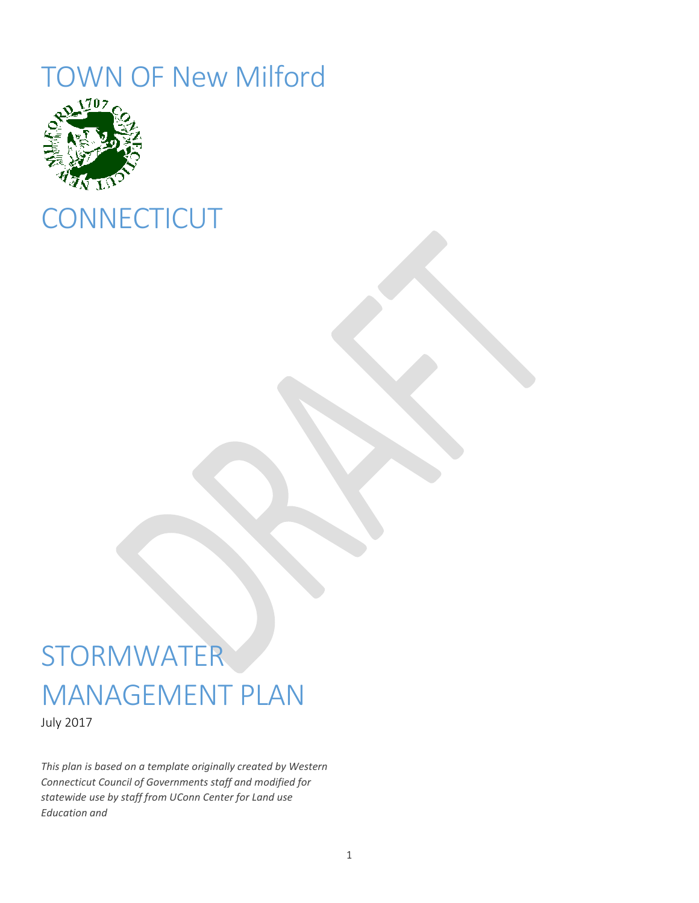# TOWN OF New Milford



# **CONNECTICUT**

# **STORMWATER** MANAGEMENT PLAN

July 2017

*This plan is based on a template originally created by Western Connecticut Council of Governments staff and modified for statewide use by staff from UConn Center for Land use Education and*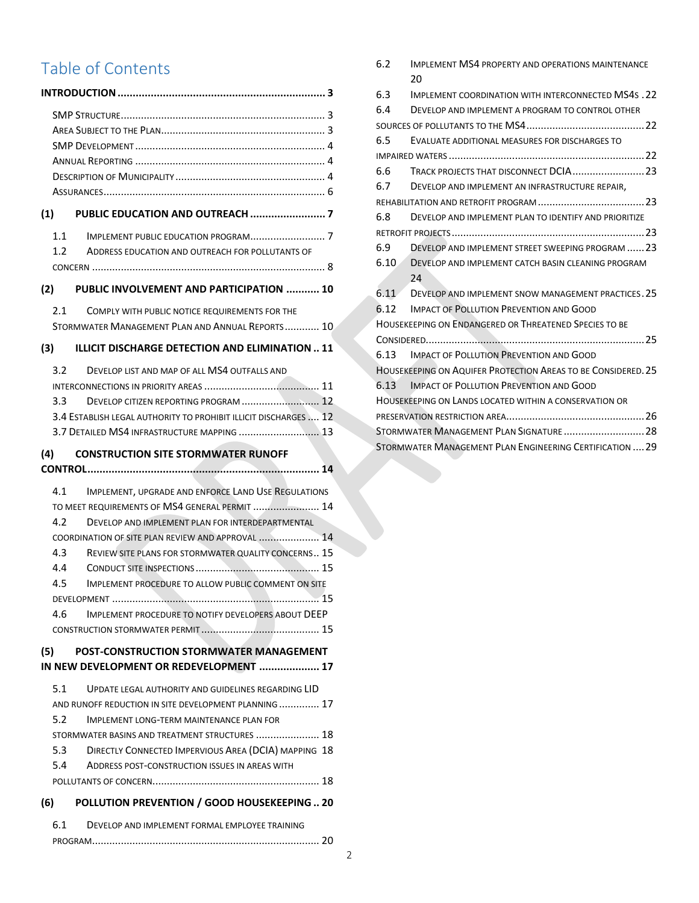# Table of Contents

|     | . 3                                                                |    |
|-----|--------------------------------------------------------------------|----|
|     |                                                                    |    |
|     |                                                                    |    |
|     |                                                                    |    |
|     |                                                                    |    |
|     |                                                                    |    |
|     |                                                                    |    |
| (1) |                                                                    |    |
|     |                                                                    |    |
|     | 1.2<br>ADDRESS EDUCATION AND OUTREACH FOR POLLUTANTS OF            |    |
|     |                                                                    |    |
|     |                                                                    |    |
|     | (2) PUBLIC INVOLVEMENT AND PARTICIPATION  10                       |    |
|     | 2.1<br>COMPLY WITH PUBLIC NOTICE REQUIREMENTS FOR THE              |    |
|     | STORMWATER MANAGEMENT PLAN AND ANNUAL REPORTS 10                   |    |
| (3) | <b>ILLICIT DISCHARGE DETECTION AND ELIMINATION  11</b>             |    |
|     | 3.2<br>DEVELOP LIST AND MAP OF ALL MS4 OUTFALLS AND                |    |
|     |                                                                    |    |
|     |                                                                    |    |
|     | 3.4 ESTABLISH LEGAL AUTHORITY TO PROHIBIT ILLICIT DISCHARGES  12   |    |
|     | 3.7 DETAILED MS4 INFRASTRUCTURE MAPPING  13                        |    |
|     | (4) CONSTRUCTION SITE STORMWATER RUNOFF                            |    |
|     |                                                                    |    |
|     |                                                                    |    |
|     | 4.1<br>IMPLEMENT, UPGRADE AND ENFORCE LAND USE REGULATIONS         |    |
|     | TO MEET REQUIREMENTS OF MS4 GENERAL PERMIT  14                     |    |
|     | 4.2<br>DEVELOP AND IMPLEMENT PLAN FOR INTERDEPARTMENTAL            |    |
|     | COORDINATION OF SITE PLAN REVIEW AND APPROVAL  14                  |    |
|     | 4.3<br><b>REVIEW SITE PLANS FOR STORMWATER QUALITY CONCERNS 15</b> |    |
|     | 4.4                                                                |    |
|     | 4.5<br>IMPLEMENT PROCEDURE TO ALLOW PUBLIC COMMENT ON SITE         |    |
|     | DEVELOPMENT.                                                       | 15 |
|     | <b>IMPLEMENT PROCEDURE TO NOTIFY DEVELOPERS ABOUT DEEP</b><br>4.6  |    |
|     |                                                                    |    |
|     | POST-CONSTRUCTION STORMWATER MANAGEMENT<br>(5)                     |    |
|     | IN NEW DEVELOPMENT OR REDEVELOPMENT  17                            |    |
|     | 5.1<br>UPDATE LEGAL AUTHORITY AND GUIDELINES REGARDING LID         |    |
|     | AND RUNOFF REDUCTION IN SITE DEVELOPMENT PLANNING 17               |    |
|     | 5.2<br><b>IMPLEMENT LONG-TERM MAINTENANCE PLAN FOR</b>             |    |
|     | STORMWATER BASINS AND TREATMENT STRUCTURES  18                     |    |
|     | DIRECTLY CONNECTED IMPERVIOUS AREA (DCIA) MAPPING 18<br>5.3        |    |
|     | 5.4<br>ADDRESS POST-CONSTRUCTION ISSUES IN AREAS WITH              |    |
|     |                                                                    |    |
| (6) | POLLUTION PREVENTION / GOOD HOUSEKEEPING  20                       |    |
|     | 6.1<br>DEVELOP AND IMPLEMENT FORMAL EMPLOYEE TRAINING              |    |
|     |                                                                    |    |

| 6.2 | <b>IMPLEMENT MS4 PROPERTY AND OPERATIONS MAINTENANCE</b>      |
|-----|---------------------------------------------------------------|
|     | 20                                                            |
| 6.3 | <b>IMPLEMENT COORDINATION WITH INTERCONNECTED MS4S.22</b>     |
| 6.4 | DEVELOP AND IMPLEMENT A PROGRAM TO CONTROL OTHER              |
|     |                                                               |
| 6.5 | EVALUATE ADDITIONAL MEASURES FOR DISCHARGES TO                |
|     |                                                               |
| 6.6 |                                                               |
| 6.7 | DEVELOP AND IMPLEMENT AN INFRASTRUCTURE REPAIR,               |
|     |                                                               |
| 6.8 | DEVELOP AND IMPLEMENT PLAN TO IDENTIFY AND PRIORITIZE         |
|     |                                                               |
|     | 6.9 DEVELOP AND IMPLEMENT STREET SWEEPING PROGRAM  23         |
|     | 6.10 DEVELOP AND IMPLEMENT CATCH BASIN CLEANING PROGRAM       |
|     | 24                                                            |
|     | 6.11 DEVELOP AND IMPLEMENT SNOW MANAGEMENT PRACTICES. 25      |
|     | 6.12 IMPACT OF POLLUTION PREVENTION AND GOOD                  |
|     | <b>HOUSEKEEPING ON ENDANGERED OR THREATENED SPECIES TO BE</b> |
|     |                                                               |
|     | 6.13 IMPACT OF POLLUTION PREVENTION AND GOOD                  |
|     | HOUSEKEEPING ON AQUIFER PROTECTION AREAS TO BE CONSIDERED. 25 |
|     | 6.13 IMPACT OF POLLUTION PREVENTION AND GOOD                  |
|     | <b>HOUSEKEEPING ON LANDS LOCATED WITHIN A CONSERVATION OR</b> |
|     |                                                               |
|     | STORMWATER MANAGEMENT PLAN SIGNATURE  28                      |
|     | STORMWATER MANAGEMENT PLAN ENGINEERING CERTIFICATION  29      |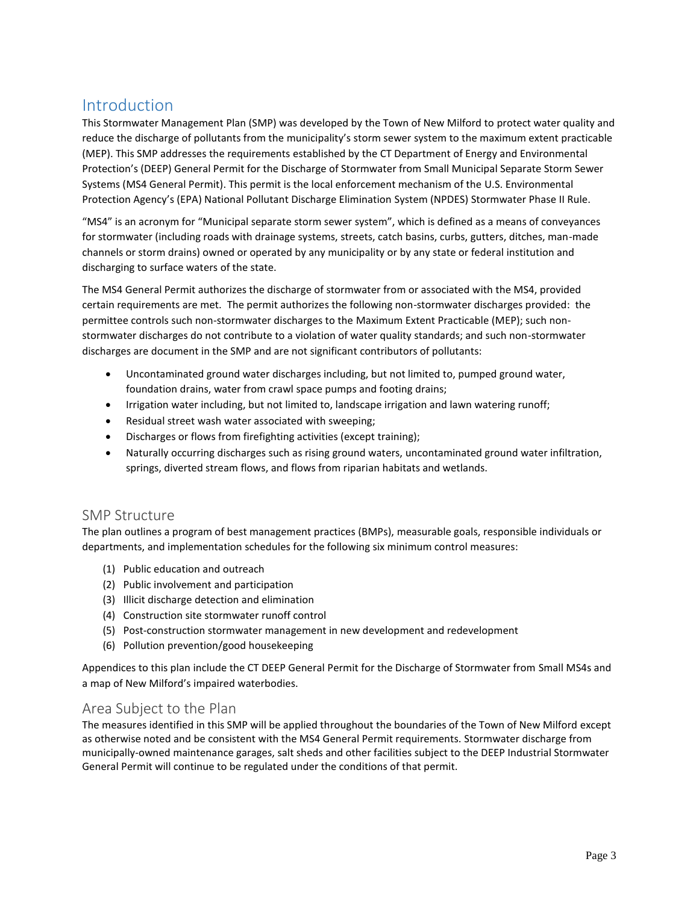# <span id="page-2-0"></span>Introduction

This Stormwater Management Plan (SMP) was developed by the Town of New Milford to protect water quality and reduce the discharge of pollutants from the municipality's storm sewer system to the maximum extent practicable (MEP). This SMP addresses the requirements established by the CT Department of Energy and Environmental Protection's (DEEP) General Permit for the Discharge of Stormwater from Small Municipal Separate Storm Sewer Systems (MS4 General Permit). This permit is the local enforcement mechanism of the U.S. Environmental Protection Agency's (EPA) National Pollutant Discharge Elimination System (NPDES) Stormwater Phase II Rule.

"MS4" is an acronym for "Municipal separate storm sewer system", which is defined as a means of conveyances for stormwater (including roads with drainage systems, streets, catch basins, curbs, gutters, ditches, man-made channels or storm drains) owned or operated by any municipality or by any state or federal institution and discharging to surface waters of the state.

The MS4 General Permit authorizes the discharge of stormwater from or associated with the MS4, provided certain requirements are met. The permit authorizes the following non-stormwater discharges provided: the permittee controls such non-stormwater discharges to the Maximum Extent Practicable (MEP); such nonstormwater discharges do not contribute to a violation of water quality standards; and such non-stormwater discharges are document in the SMP and are not significant contributors of pollutants:

- Uncontaminated ground water discharges including, but not limited to, pumped ground water, foundation drains, water from crawl space pumps and footing drains;
- Irrigation water including, but not limited to, landscape irrigation and lawn watering runoff;
- Residual street wash water associated with sweeping;
- Discharges or flows from firefighting activities (except training);
- Naturally occurring discharges such as rising ground waters, uncontaminated ground water infiltration, springs, diverted stream flows, and flows from riparian habitats and wetlands.

# <span id="page-2-1"></span>SMP Structure

The plan outlines a program of best management practices (BMPs), measurable goals, responsible individuals or departments, and implementation schedules for the following six minimum control measures:

- (1) Public education and outreach
- (2) Public involvement and participation
- (3) Illicit discharge detection and elimination
- (4) Construction site stormwater runoff control
- (5) Post-construction stormwater management in new development and redevelopment
- (6) Pollution prevention/good housekeeping

Appendices to this plan include the CT DEEP General Permit for the Discharge of Stormwater from Small MS4s and a map of New Milford's impaired waterbodies.

# <span id="page-2-2"></span>Area Subject to the Plan

The measures identified in this SMP will be applied throughout the boundaries of the Town of New Milford except as otherwise noted and be consistent with the MS4 General Permit requirements. Stormwater discharge from municipally-owned maintenance garages, salt sheds and other facilities subject to the DEEP Industrial Stormwater General Permit will continue to be regulated under the conditions of that permit.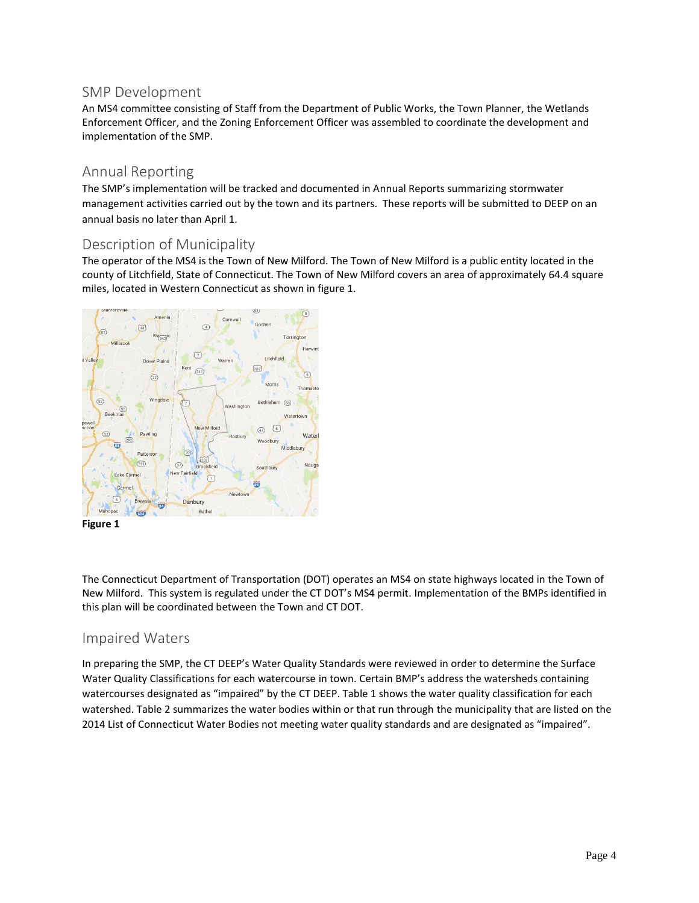# <span id="page-3-0"></span>SMP Development

An MS4 committee consisting of Staff from the Department of Public Works, the Town Planner, the Wetlands Enforcement Officer, and the Zoning Enforcement Officer was assembled to coordinate the development and implementation of the SMP.

### <span id="page-3-1"></span>Annual Reporting

The SMP's implementation will be tracked and documented in Annual Reports summarizing stormwater management activities carried out by the town and its partners. These reports will be submitted to DEEP on an annual basis no later than April 1.

### <span id="page-3-2"></span>Description of Municipality

The operator of the MS4 is the Town of New Milford. The Town of New Milford is a public entity located in the county of Litchfield, State of Connecticut. The Town of New Milford covers an area of approximately 64.4 square miles, located in Western Connecticut as shown in figure 1.



**Figure 1**

The Connecticut Department of Transportation (DOT) operates an MS4 on state highways located in the Town of New Milford. This system is regulated under the CT DOT's MS4 permit. Implementation of the BMPs identified in this plan will be coordinated between the Town and CT DOT.

# Impaired Waters

In preparing the SMP, the CT DEEP's Water Quality Standards were reviewed in order to determine the Surface Water Quality Classifications for each watercourse in town. Certain BMP's address the watersheds containing watercourses designated as "impaired" by the CT DEEP. Table 1 shows the water quality classification for each watershed. Table 2 summarizes the water bodies within or that run through the municipality that are listed on the 2014 List of Connecticut Water Bodies not meeting water quality standards and are designated as "impaired".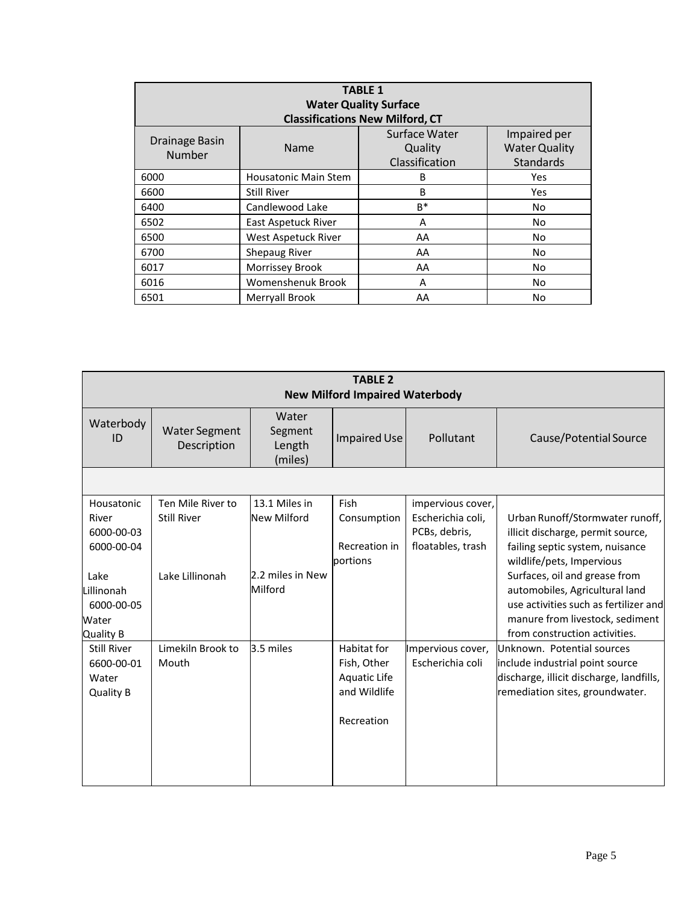| <b>TABLE 1</b><br><b>Water Quality Surface</b><br><b>Classifications New Milford, CT</b>                                                   |                             |       |            |  |  |
|--------------------------------------------------------------------------------------------------------------------------------------------|-----------------------------|-------|------------|--|--|
| Surface Water<br>Impaired per<br>Drainage Basin<br><b>Water Quality</b><br>Name<br>Quality<br>Number<br>Classification<br><b>Standards</b> |                             |       |            |  |  |
| 6000                                                                                                                                       | <b>Housatonic Main Stem</b> | B     | Yes        |  |  |
| 6600                                                                                                                                       | <b>Still River</b>          | B     | <b>Yes</b> |  |  |
| 6400                                                                                                                                       | Candlewood Lake             | $B^*$ | No         |  |  |
| 6502                                                                                                                                       | East Aspetuck River         | A     | No         |  |  |
| 6500                                                                                                                                       | West Aspetuck River         | AA    | No.        |  |  |
| 6700                                                                                                                                       | <b>Shepaug River</b>        | AA    | No         |  |  |
| 6017                                                                                                                                       | Morrissey Brook             | AA    | No.        |  |  |
| 6016                                                                                                                                       | <b>Womenshenuk Brook</b>    | A     | No         |  |  |
| 6501                                                                                                                                       | <b>Merryall Brook</b>       | AA    | No         |  |  |

| <b>TABLE 2</b><br><b>New Milford Impaired Waterbody</b>       |                                         |                                       |                                                                          |                                                                              |                                                                                                                                                                              |
|---------------------------------------------------------------|-----------------------------------------|---------------------------------------|--------------------------------------------------------------------------|------------------------------------------------------------------------------|------------------------------------------------------------------------------------------------------------------------------------------------------------------------------|
| Waterbody<br>ID                                               | <b>Water Segment</b><br>Description     | Water<br>Segment<br>Length<br>(miles) | Impaired Use                                                             | Pollutant                                                                    | Cause/Potential Source                                                                                                                                                       |
|                                                               |                                         |                                       |                                                                          |                                                                              |                                                                                                                                                                              |
| Housatonic<br>River<br>6000-00-03<br>6000-00-04               | Ten Mile River to<br><b>Still River</b> | 13.1 Miles in<br>New Milford          | Fish<br>Consumption<br>Recreation in<br>portions                         | impervious cover,<br>Escherichia coli,<br>PCBs, debris,<br>floatables, trash | Urban Runoff/Stormwater runoff,<br>illicit discharge, permit source,<br>failing septic system, nuisance<br>wildlife/pets, Impervious                                         |
| Lake<br>Lillinonah<br>6000-00-05<br>Water<br>Quality B        | Lake Lillinonah                         | 2.2 miles in New<br>Milford           |                                                                          |                                                                              | Surfaces, oil and grease from<br>automobiles, Agricultural land<br>use activities such as fertilizer and<br>manure from livestock, sediment<br>from construction activities. |
| <b>Still River</b><br>6600-00-01<br>Water<br><b>Quality B</b> | Limekiln Brook to<br>Mouth              | 3.5 miles                             | Habitat for<br>Fish, Other<br>Aquatic Life<br>and Wildlife<br>Recreation | Impervious cover,<br>Escherichia coli                                        | Unknown. Potential sources<br>include industrial point source<br>discharge, illicit discharge, landfills,<br>remediation sites, groundwater.                                 |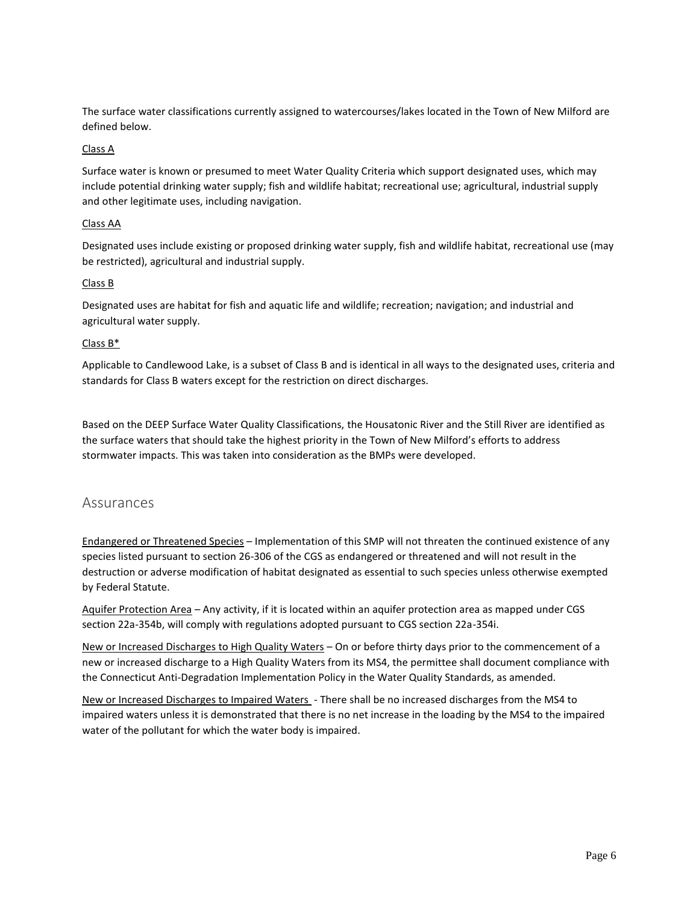The surface water classifications currently assigned to watercourses/lakes located in the Town of New Milford are defined below.

#### Class A

Surface water is known or presumed to meet Water Quality Criteria which support designated uses, which may include potential drinking water supply; fish and wildlife habitat; recreational use; agricultural, industrial supply and other legitimate uses, including navigation.

#### Class AA

Designated uses include existing or proposed drinking water supply, fish and wildlife habitat, recreational use (may be restricted), agricultural and industrial supply.

#### Class B

Designated uses are habitat for fish and aquatic life and wildlife; recreation; navigation; and industrial and agricultural water supply.

#### Class B\*

Applicable to Candlewood Lake, is a subset of Class B and is identical in all ways to the designated uses, criteria and standards for Class B waters except for the restriction on direct discharges.

Based on the DEEP Surface Water Quality Classifications, the Housatonic River and the Still River are identified as the surface waters that should take the highest priority in the Town of New Milford's efforts to address stormwater impacts. This was taken into consideration as the BMPs were developed.

#### <span id="page-5-0"></span>Assurances

Endangered or Threatened Species – Implementation of this SMP will not threaten the continued existence of any species listed pursuant to section 26-306 of the CGS as endangered or threatened and will not result in the destruction or adverse modification of habitat designated as essential to such species unless otherwise exempted by Federal Statute.

Aquifer Protection Area – Any activity, if it is located within an aquifer protection area as mapped under CGS section 22a-354b, will comply with regulations adopted pursuant to CGS section 22a-354i.

New or Increased Discharges to High Quality Waters – On or before thirty days prior to the commencement of a new or increased discharge to a High Quality Waters from its MS4, the permittee shall document compliance with the Connecticut Anti-Degradation Implementation Policy in the Water Quality Standards, as amended.

New or Increased Discharges to Impaired Waters - There shall be no increased discharges from the MS4 to impaired waters unless it is demonstrated that there is no net increase in the loading by the MS4 to the impaired water of the pollutant for which the water body is impaired.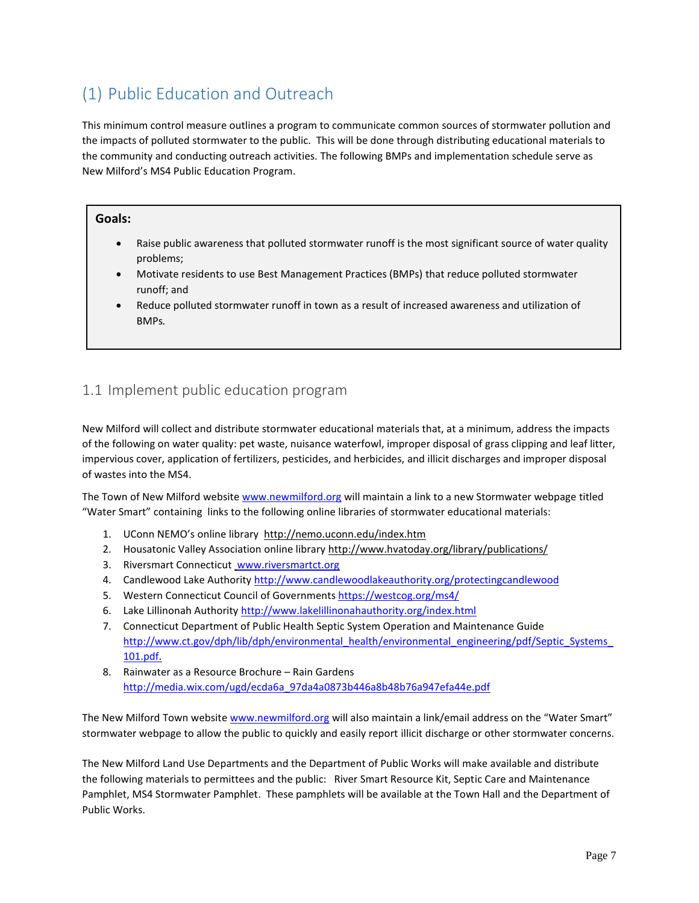# <span id="page-6-0"></span>(1) Public Education and Outreach

This minimum control measure outlines a program to communicate common sources of stormwater pollution and the impacts of polluted stormwater to the public. This will be done through distributing educational materials to the community and conducting outreach activities. The following BMPs and implementation schedule serve as New Milford's MS4 Public Education Program.

#### **Goals:**

- Raise public awareness that polluted stormwater runoff is the most significant source of water quality problems;
- Motivate residents to use Best Management Practices (BMPs) that reduce polluted stormwater runoff; and
- Reduce polluted stormwater runoff in town as a result of increased awareness and utilization of BMPs*.*

# <span id="page-6-1"></span>1.1 Implement public education program

New Milford will collect and distribute stormwater educational materials that, at a minimum, address the impacts of the following on water quality: pet waste, nuisance waterfowl, improper disposal of grass clipping and leaf litter, impervious cover, application of fertilizers, pesticides, and herbicides, and illicit discharges and improper disposal of wastes into the MS4.

The Town of New Milford website [www.newmilford.org](http://www.newmilford.org/) will maintain a link to a new Stormwater webpage titled "Water Smart" containing links to the following online libraries of stormwater educational materials:

- 1. UConn NEMO's online library http://nemo.uconn.edu/index.htm
- 2. Housatonic Valley Association online library http://www.hvatoday.org/library/publications/
- 3. Riversmart Connecticut [www.riversmartct.org](http://www.riversmartct.org/)
- 4. Candlewood Lake Authorit[y http://www.candlewoodlakeauthority.org/protectingcandlewood](http://www.candlewoodlakeauthority.org/protectingcandlewood)
- 5. Western Connecticut Council of Government[s https://westcog.org/ms4/](https://westcog.org/ms4/)
- 6. Lake Lillinonah Authority<http://www.lakelillinonahauthority.org/index.html>
- 7. Connecticut Department of Public Health Septic System Operation and Maintenance Guide http://www.ct.gov/dph/lib/dph/environmental\_health/environmental\_engineering/pdf/Septic\_Systems [101.pdf.](http://www.ct.gov/dph/lib/dph/environmental_health/environmental_engineering/pdf/Septic_Systems_101.pdf)
- 8. Rainwater as a Resource Brochure Rain Gardens http://media.wix.com/ugd/ecda6a\_97da4a0873b446a8b48b76a947efa44e.pdf

The New Milford Town websit[e www.newmilford.org](http://www.newmilford.org/) will also maintain a link/email address on the "Water Smart" stormwater webpage to allow the public to quickly and easily report illicit discharge or other stormwater concerns.

The New Milford Land Use Departments and the Department of Public Works will make available and distribute the following materials to permittees and the public: River Smart Resource Kit, Septic Care and Maintenance Pamphlet, MS4 Stormwater Pamphlet. These pamphlets will be available at the Town Hall and the Department of Public Works.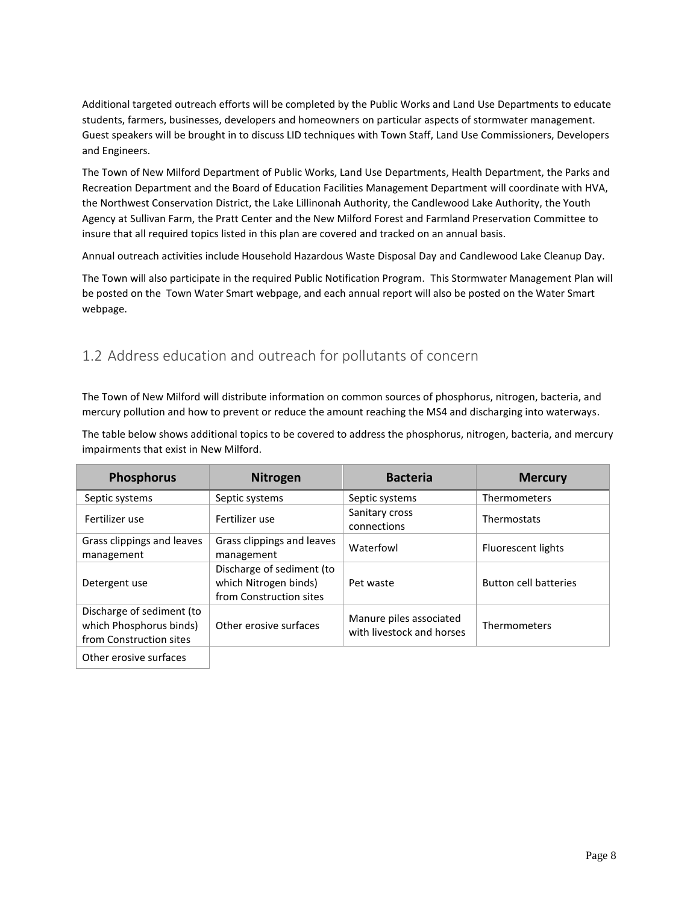Additional targeted outreach efforts will be completed by the Public Works and Land Use Departments to educate students, farmers, businesses, developers and homeowners on particular aspects of stormwater management. Guest speakers will be brought in to discuss LID techniques with Town Staff, Land Use Commissioners, Developers and Engineers.

The Town of New Milford Department of Public Works, Land Use Departments, Health Department, the Parks and Recreation Department and the Board of Education Facilities Management Department will coordinate with HVA, the Northwest Conservation District, the Lake Lillinonah Authority, the Candlewood Lake Authority, the Youth Agency at Sullivan Farm, the Pratt Center and the New Milford Forest and Farmland Preservation Committee to insure that all required topics listed in this plan are covered and tracked on an annual basis.

Annual outreach activities include Household Hazardous Waste Disposal Day and Candlewood Lake Cleanup Day.

The Town will also participate in the required Public Notification Program. This Stormwater Management Plan will be posted on the Town Water Smart webpage, and each annual report will also be posted on the Water Smart webpage.

# <span id="page-7-0"></span>1.2 Address education and outreach for pollutants of concern

The Town of New Milford will distribute information on common sources of phosphorus, nitrogen, bacteria, and mercury pollution and how to prevent or reduce the amount reaching the MS4 and discharging into waterways.

The table below shows additional topics to be covered to address the phosphorus, nitrogen, bacteria, and mercury impairments that exist in New Milford.

| <b>Phosphorus</b>                                                               | <b>Nitrogen</b>                                                               | <b>Bacteria</b>                                      | <b>Mercury</b>               |
|---------------------------------------------------------------------------------|-------------------------------------------------------------------------------|------------------------------------------------------|------------------------------|
| Septic systems                                                                  | Septic systems                                                                | Septic systems                                       | Thermometers                 |
| Fertilizer use                                                                  | Fertilizer use                                                                | Sanitary cross<br>connections                        | Thermostats                  |
| Grass clippings and leaves<br>management                                        | Grass clippings and leaves<br>management                                      | Waterfowl                                            | Fluorescent lights           |
| Detergent use                                                                   | Discharge of sediment (to<br>which Nitrogen binds)<br>from Construction sites | Pet waste                                            | <b>Button cell batteries</b> |
| Discharge of sediment (to<br>which Phosphorus binds)<br>from Construction sites | Other erosive surfaces                                                        | Manure piles associated<br>with livestock and horses | Thermometers                 |
| Other erosive surfaces                                                          |                                                                               |                                                      |                              |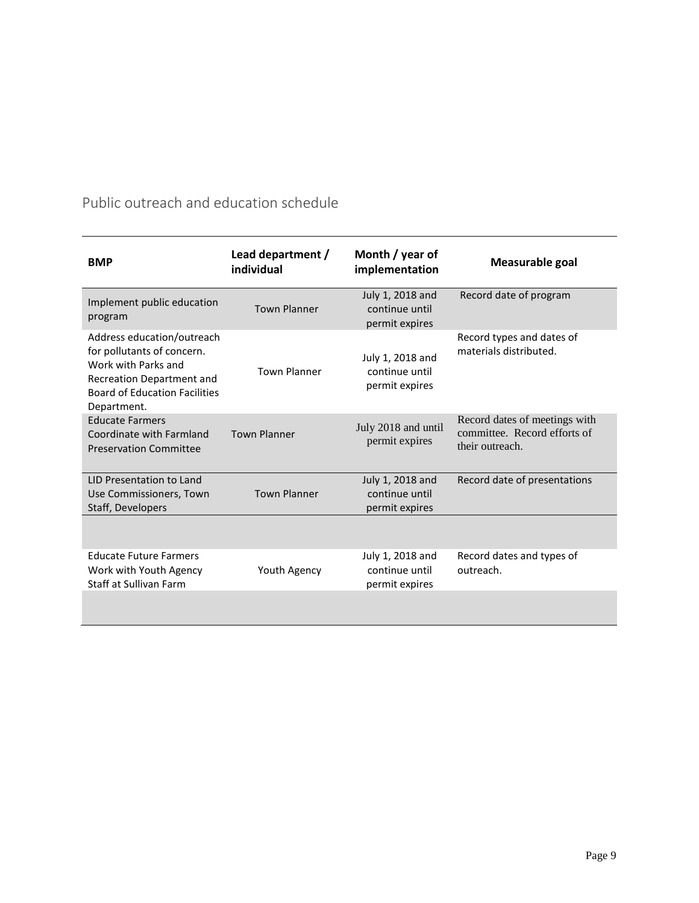| <b>BMP</b>                                                                                                                                                          | Lead department /<br>individual | Month / year of<br>implementation                    | Measurable goal                                                                  |
|---------------------------------------------------------------------------------------------------------------------------------------------------------------------|---------------------------------|------------------------------------------------------|----------------------------------------------------------------------------------|
| Implement public education<br>program                                                                                                                               | <b>Town Planner</b>             | July 1, 2018 and<br>continue until<br>permit expires | Record date of program                                                           |
| Address education/outreach<br>for pollutants of concern.<br>Work with Parks and<br>Recreation Department and<br><b>Board of Education Facilities</b><br>Department. | <b>Town Planner</b>             | July 1, 2018 and<br>continue until<br>permit expires | Record types and dates of<br>materials distributed.                              |
| <b>Educate Farmers</b><br>Coordinate with Farmland<br><b>Preservation Committee</b>                                                                                 | <b>Town Planner</b>             | July 2018 and until<br>permit expires                | Record dates of meetings with<br>committee. Record efforts of<br>their outreach. |
| LID Presentation to Land<br>Use Commissioners, Town<br>Staff, Developers                                                                                            | <b>Town Planner</b>             | July 1, 2018 and<br>continue until<br>permit expires | Record date of presentations                                                     |
|                                                                                                                                                                     |                                 |                                                      |                                                                                  |
| <b>Educate Future Farmers</b><br>Work with Youth Agency<br>Staff at Sullivan Farm                                                                                   | Youth Agency                    | July 1, 2018 and<br>continue until<br>permit expires | Record dates and types of<br>outreach.                                           |
|                                                                                                                                                                     |                                 |                                                      |                                                                                  |

Public outreach and education schedule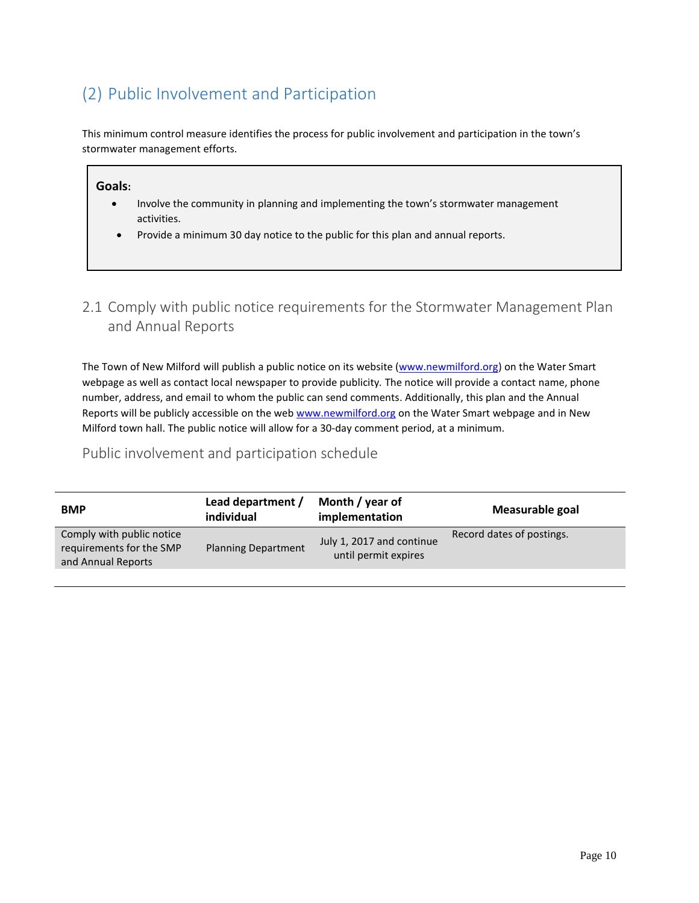# <span id="page-9-0"></span>(2) Public Involvement and Participation

This minimum control measure identifies the process for public involvement and participation in the town's stormwater management efforts.

#### **Goals:**

- Involve the community in planning and implementing the town's stormwater management activities.
- Provide a minimum 30 day notice to the public for this plan and annual reports.

# <span id="page-9-1"></span>2.1 Comply with public notice requirements for the Stormwater Management Plan and Annual Reports

The Town of New Milford will publish a public notice on its website [\(www.newmilford.org\)](http://www.newmilford.org/) on the Water Smart webpage as well as contact local newspaper to provide publicity*.* The notice will provide a contact name, phone number, address, and email to whom the public can send comments. Additionally, this plan and the Annual Reports will be publicly accessible on the web [www.newmilford.org](http://www.newmilford.org/) on the Water Smart webpage and in New Milford town hall. The public notice will allow for a 30-day comment period, at a minimum.

# Public involvement and participation schedule

| Comply with public notice<br>Record dates of postings.<br>July 1, 2017 and continue<br>requirements for the SMP<br><b>Planning Department</b><br>until permit expires<br>and Annual Reports | <b>BMP</b> | Lead department /<br>individual | Month / year of<br>implementation | Measurable goal |
|---------------------------------------------------------------------------------------------------------------------------------------------------------------------------------------------|------------|---------------------------------|-----------------------------------|-----------------|
|                                                                                                                                                                                             |            |                                 |                                   |                 |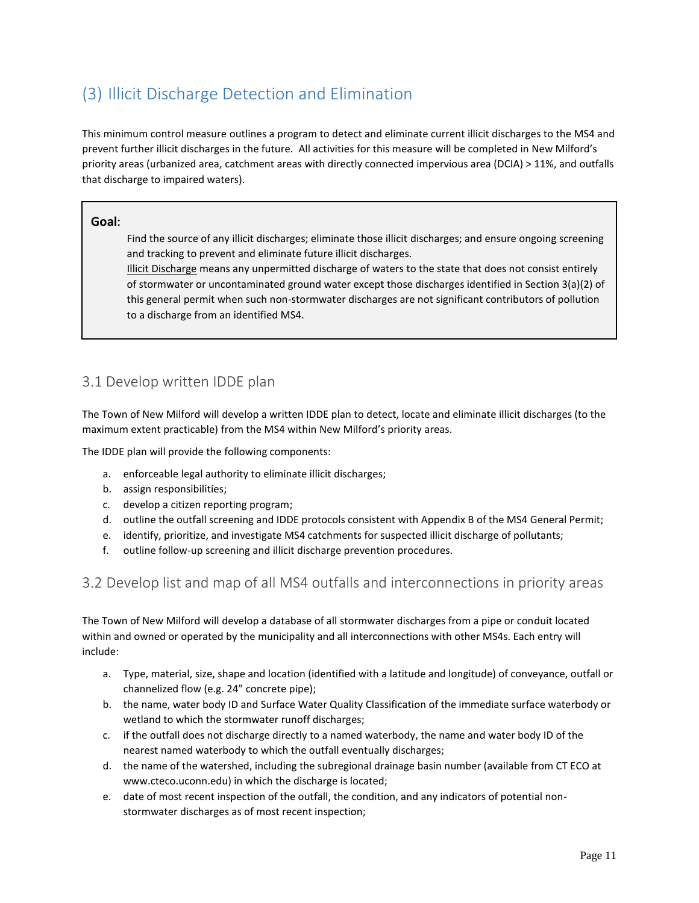# <span id="page-10-0"></span>(3) Illicit Discharge Detection and Elimination

This minimum control measure outlines a program to detect and eliminate current illicit discharges to the MS4 and prevent further illicit discharges in the future. All activities for this measure will be completed in New Milford's priority areas (urbanized area, catchment areas with directly connected impervious area (DCIA) > 11%, and outfalls that discharge to impaired waters).

#### **Goal:**

Find the source of any illicit discharges; eliminate those illicit discharges; and ensure ongoing screening and tracking to prevent and eliminate future illicit discharges.

Illicit Discharge means any unpermitted discharge of waters to the state that does not consist entirely of stormwater or uncontaminated ground water except those discharges identified in Section 3(a)(2) of this general permit when such non-stormwater discharges are not significant contributors of pollution to a discharge from an identified MS4.

# 3.1 Develop written IDDE plan

The Town of New Milford will develop a written IDDE plan to detect, locate and eliminate illicit discharges (to the maximum extent practicable) from the MS4 within New Milford's priority areas.

The IDDE plan will provide the following components:

- a. enforceable legal authority to eliminate illicit discharges;
- b. assign responsibilities;
- c. develop a citizen reporting program;
- d. outline the outfall screening and IDDE protocols consistent with Appendix B of the MS4 General Permit;
- e. identify, prioritize, and investigate MS4 catchments for suspected illicit discharge of pollutants;
- <span id="page-10-1"></span>f. outline follow-up screening and illicit discharge prevention procedures.

# 3.2 Develop list and map of all MS4 outfalls and interconnections in priority areas

The Town of New Milford will develop a database of all stormwater discharges from a pipe or conduit located within and owned or operated by the municipality and all interconnections with other MS4s. Each entry will include:

- a. Type, material, size, shape and location (identified with a latitude and longitude) of conveyance, outfall or channelized flow (e.g. 24" concrete pipe);
- b. the name, water body ID and Surface Water Quality Classification of the immediate surface waterbody or wetland to which the stormwater runoff discharges;
- c. if the outfall does not discharge directly to a named waterbody, the name and water body ID of the nearest named waterbody to which the outfall eventually discharges;
- d. the name of the watershed, including the subregional drainage basin number (available from CT ECO at www.cteco.uconn.edu) in which the discharge is located;
- e. date of most recent inspection of the outfall, the condition, and any indicators of potential nonstormwater discharges as of most recent inspection;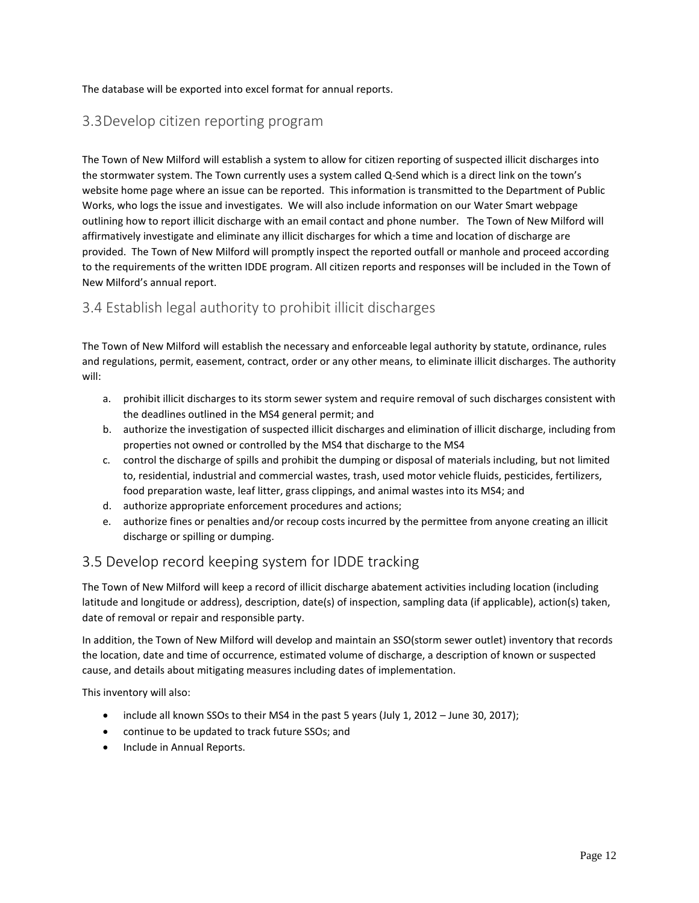#### The database will be exported into excel format for annual reports.

# <span id="page-11-0"></span>3.3Develop citizen reporting program

The Town of New Milford will establish a system to allow for citizen reporting of suspected illicit discharges into the stormwater system. The Town currently uses a system called Q-Send which is a direct link on the town's website home page where an issue can be reported. This information is transmitted to the Department of Public Works, who logs the issue and investigates. We will also include information on our Water Smart webpage outlining how to report illicit discharge with an email contact and phone number. The Town of New Milford will affirmatively investigate and eliminate any illicit discharges for which a time and location of discharge are provided. The Town of New Milford will promptly inspect the reported outfall or manhole and proceed according to the requirements of the written IDDE program. All citizen reports and responses will be included in the Town of New Milford's annual report.

# <span id="page-11-1"></span>3.4 Establish legal authority to prohibit illicit discharges

The Town of New Milford will establish the necessary and enforceable legal authority by statute, ordinance, rules and regulations, permit, easement, contract, order or any other means, to eliminate illicit discharges. The authority will:

- a. prohibit illicit discharges to its storm sewer system and require removal of such discharges consistent with the deadlines outlined in the MS4 general permit; and
- b. authorize the investigation of suspected illicit discharges and elimination of illicit discharge, including from properties not owned or controlled by the MS4 that discharge to the MS4
- c. control the discharge of spills and prohibit the dumping or disposal of materials including, but not limited to, residential, industrial and commercial wastes, trash, used motor vehicle fluids, pesticides, fertilizers, food preparation waste, leaf litter, grass clippings, and animal wastes into its MS4; and
- d. authorize appropriate enforcement procedures and actions;
- e. authorize fines or penalties and/or recoup costs incurred by the permittee from anyone creating an illicit discharge or spilling or dumping.

# 3.5 Develop record keeping system for IDDE tracking

The Town of New Milford will keep a record of illicit discharge abatement activities including location (including latitude and longitude or address), description, date(s) of inspection, sampling data (if applicable), action(s) taken, date of removal or repair and responsible party.

In addition, the Town of New Milford will develop and maintain an SSO(storm sewer outlet) inventory that records the location, date and time of occurrence, estimated volume of discharge, a description of known or suspected cause, and details about mitigating measures including dates of implementation.

This inventory will also:

- include all known SSOs to their MS4 in the past 5 years (July 1, 2012 June 30, 2017);
- continue to be updated to track future SSOs; and
- Include in Annual Reports.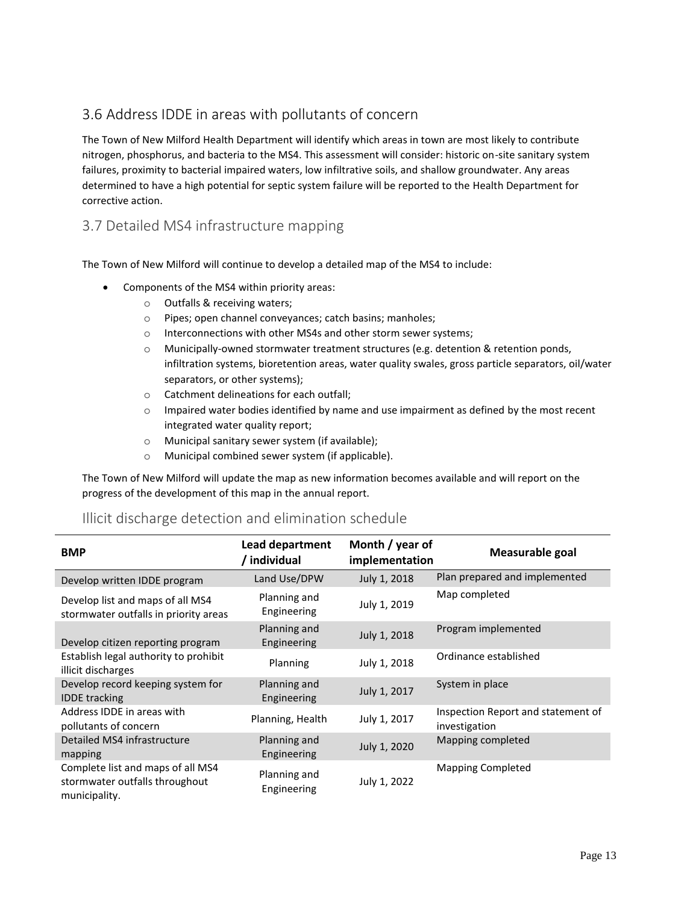# 3.6 Address IDDE in areas with pollutants of concern

The Town of New Milford Health Department will identify which areas in town are most likely to contribute nitrogen, phosphorus, and bacteria to the MS4. This assessment will consider: historic on-site sanitary system failures, proximity to bacterial impaired waters, low infiltrative soils, and shallow groundwater. Any areas determined to have a high potential for septic system failure will be reported to the Health Department for corrective action.

# <span id="page-12-0"></span>3.7 Detailed MS4 infrastructure mapping

The Town of New Milford will continue to develop a detailed map of the MS4 to include:

- Components of the MS4 within priority areas:
	- o Outfalls & receiving waters;
	- o Pipes; open channel conveyances; catch basins; manholes;
	- o Interconnections with other MS4s and other storm sewer systems;
	- $\circ$  Municipally-owned stormwater treatment structures (e.g. detention & retention ponds, infiltration systems, bioretention areas, water quality swales, gross particle separators, oil/water separators, or other systems);
	- o Catchment delineations for each outfall;
	- $\circ$  Impaired water bodies identified by name and use impairment as defined by the most recent integrated water quality report;
	- o Municipal sanitary sewer system (if available);
	- o Municipal combined sewer system (if applicable).

The Town of New Milford will update the map as new information becomes available and will report on the progress of the development of this map in the annual report.

| Illicit discharge detection and elimination schedule |  |  |  |
|------------------------------------------------------|--|--|--|
|------------------------------------------------------|--|--|--|

| <b>BMP</b>                                                                           | Lead department<br>/ individual | Month / year of<br>implementation | Measurable goal                                     |
|--------------------------------------------------------------------------------------|---------------------------------|-----------------------------------|-----------------------------------------------------|
| Develop written IDDE program                                                         | Land Use/DPW                    | July 1, 2018                      | Plan prepared and implemented                       |
| Develop list and maps of all MS4<br>stormwater outfalls in priority areas            | Planning and<br>Engineering     | July 1, 2019                      | Map completed                                       |
| Develop citizen reporting program                                                    | Planning and<br>Engineering     | July 1, 2018                      | Program implemented                                 |
| Establish legal authority to prohibit<br>illicit discharges                          | Planning                        | July 1, 2018                      | Ordinance established                               |
| Develop record keeping system for<br><b>IDDE</b> tracking                            | Planning and<br>Engineering     | July 1, 2017                      | System in place                                     |
| Address IDDE in areas with<br>pollutants of concern                                  | Planning, Health                | July 1, 2017                      | Inspection Report and statement of<br>investigation |
| Detailed MS4 infrastructure<br>mapping                                               | Planning and<br>Engineering     | July 1, 2020                      | Mapping completed                                   |
| Complete list and maps of all MS4<br>stormwater outfalls throughout<br>municipality. | Planning and<br>Engineering     | July 1, 2022                      | <b>Mapping Completed</b>                            |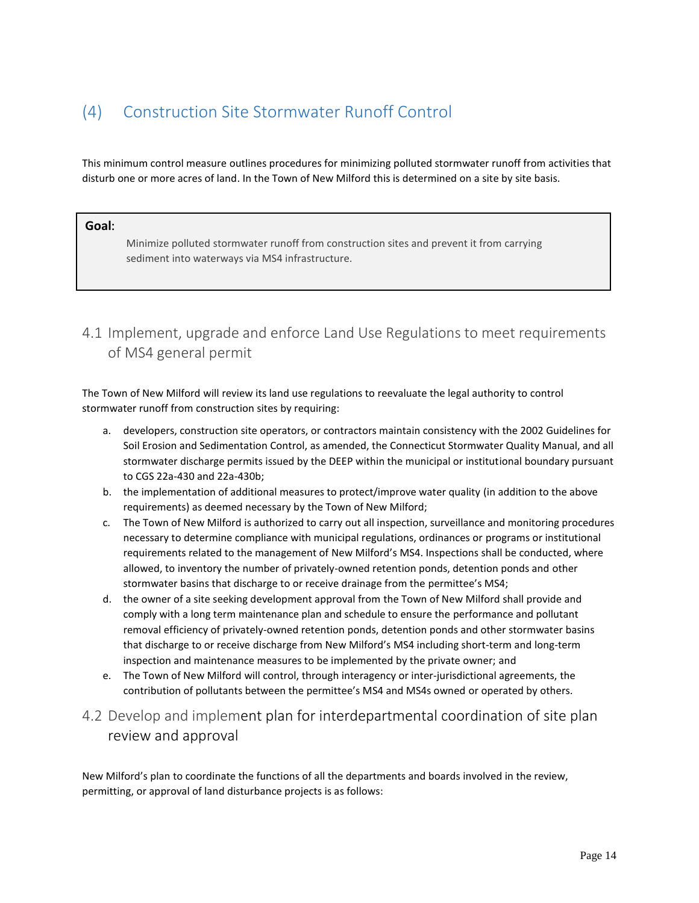# <span id="page-13-0"></span>(4) Construction Site Stormwater Runoff Control

This minimum control measure outlines procedures for minimizing polluted stormwater runoff from activities that disturb one or more acres of land. In the Town of New Milford this is determined on a site by site basis.

#### **Goal:**

Minimize polluted stormwater runoff from construction sites and prevent it from carrying sediment into waterways via MS4 infrastructure.

# <span id="page-13-1"></span>4.1 Implement, upgrade and enforce Land Use Regulations to meet requirements of MS4 general permit

The Town of New Milford will review its land use regulations to reevaluate the legal authority to control stormwater runoff from construction sites by requiring:

- a. developers, construction site operators, or contractors maintain consistency with the 2002 Guidelines for Soil Erosion and Sedimentation Control, as amended, the Connecticut Stormwater Quality Manual, and all stormwater discharge permits issued by the DEEP within the municipal or institutional boundary pursuant to CGS 22a-430 and 22a-430b;
- b. the implementation of additional measures to protect/improve water quality (in addition to the above requirements) as deemed necessary by the Town of New Milford;
- c. The Town of New Milford is authorized to carry out all inspection, surveillance and monitoring procedures necessary to determine compliance with municipal regulations, ordinances or programs or institutional requirements related to the management of New Milford's MS4. Inspections shall be conducted, where allowed, to inventory the number of privately-owned retention ponds, detention ponds and other stormwater basins that discharge to or receive drainage from the permittee's MS4;
- d. the owner of a site seeking development approval from the Town of New Milford shall provide and comply with a long term maintenance plan and schedule to ensure the performance and pollutant removal efficiency of privately-owned retention ponds, detention ponds and other stormwater basins that discharge to or receive discharge from New Milford's MS4 including short-term and long-term inspection and maintenance measures to be implemented by the private owner; and
- e. The Town of New Milford will control, through interagency or inter-jurisdictional agreements, the contribution of pollutants between the permittee's MS4 and MS4s owned or operated by others.
- <span id="page-13-2"></span>4.2 Develop and implement plan for interdepartmental coordination of site plan review and approval

New Milford's plan to coordinate the functions of all the departments and boards involved in the review, permitting, or approval of land disturbance projects is as follows: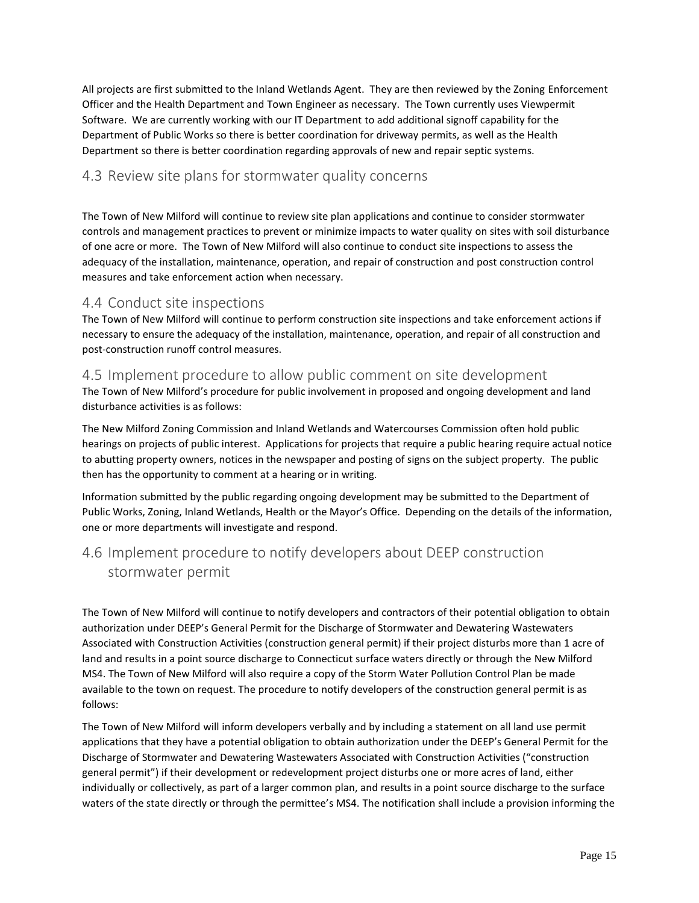All projects are first submitted to the Inland Wetlands Agent. They are then reviewed by the Zoning Enforcement Officer and the Health Department and Town Engineer as necessary. The Town currently uses Viewpermit Software. We are currently working with our IT Department to add additional signoff capability for the Department of Public Works so there is better coordination for driveway permits, as well as the Health Department so there is better coordination regarding approvals of new and repair septic systems.

# <span id="page-14-0"></span>4.3 Review site plans for stormwater quality concerns

The Town of New Milford will continue to review site plan applications and continue to consider stormwater controls and management practices to prevent or minimize impacts to water quality on sites with soil disturbance of one acre or more. The Town of New Milford will also continue to conduct site inspections to assess the adequacy of the installation, maintenance, operation, and repair of construction and post construction control measures and take enforcement action when necessary.

### <span id="page-14-1"></span>4.4 Conduct site inspections

The Town of New Milford will continue to perform construction site inspections and take enforcement actions if necessary to ensure the adequacy of the installation, maintenance, operation, and repair of all construction and post-construction runoff control measures.

#### <span id="page-14-2"></span>4.5 Implement procedure to allow public comment on site development

The Town of New Milford's procedure for public involvement in proposed and ongoing development and land disturbance activities is as follows:

The New Milford Zoning Commission and Inland Wetlands and Watercourses Commission often hold public hearings on projects of public interest. Applications for projects that require a public hearing require actual notice to abutting property owners, notices in the newspaper and posting of signs on the subject property. The public then has the opportunity to comment at a hearing or in writing.

Information submitted by the public regarding ongoing development may be submitted to the Department of Public Works, Zoning, Inland Wetlands, Health or the Mayor's Office. Depending on the details of the information, one or more departments will investigate and respond.

# <span id="page-14-3"></span>4.6 Implement procedure to notify developers about DEEP construction stormwater permit

The Town of New Milford will continue to notify developers and contractors of their potential obligation to obtain authorization under DEEP's General Permit for the Discharge of Stormwater and Dewatering Wastewaters Associated with Construction Activities (construction general permit) if their project disturbs more than 1 acre of land and results in a point source discharge to Connecticut surface waters directly or through the New Milford MS4. The Town of New Milford will also require a copy of the Storm Water Pollution Control Plan be made available to the town on request. The procedure to notify developers of the construction general permit is as follows:

The Town of New Milford will inform developers verbally and by including a statement on all land use permit applications that they have a potential obligation to obtain authorization under the DEEP's General Permit for the Discharge of Stormwater and Dewatering Wastewaters Associated with Construction Activities ("construction general permit") if their development or redevelopment project disturbs one or more acres of land, either individually or collectively, as part of a larger common plan, and results in a point source discharge to the surface waters of the state directly or through the permittee's MS4. The notification shall include a provision informing the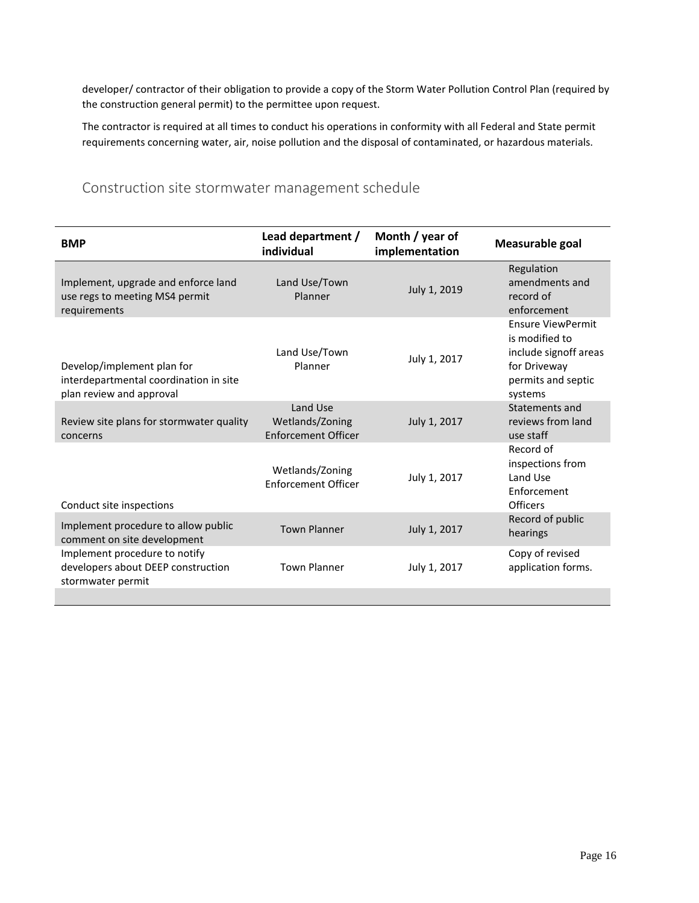developer/ contractor of their obligation to provide a copy of the Storm Water Pollution Control Plan (required by the construction general permit) to the permittee upon request.

The contractor is required at all times to conduct his operations in conformity with all Federal and State permit requirements concerning water, air, noise pollution and the disposal of contaminated, or hazardous materials.

# Construction site stormwater management schedule

| Month / year of<br>implementation | Measurable goal                                                                                                      |
|-----------------------------------|----------------------------------------------------------------------------------------------------------------------|
| July 1, 2019                      | Regulation<br>amendments and<br>record of<br>enforcement                                                             |
| July 1, 2017                      | <b>Ensure ViewPermit</b><br>is modified to<br>include signoff areas<br>for Driveway<br>permits and septic<br>systems |
| July 1, 2017                      | Statements and<br>reviews from land<br>use staff                                                                     |
| July 1, 2017                      | Record of<br>inspections from<br>Land Use<br>Enforcement<br>Officers                                                 |
| July 1, 2017                      | Record of public<br>hearings                                                                                         |
| July 1, 2017                      | Copy of revised<br>application forms.                                                                                |
|                                   |                                                                                                                      |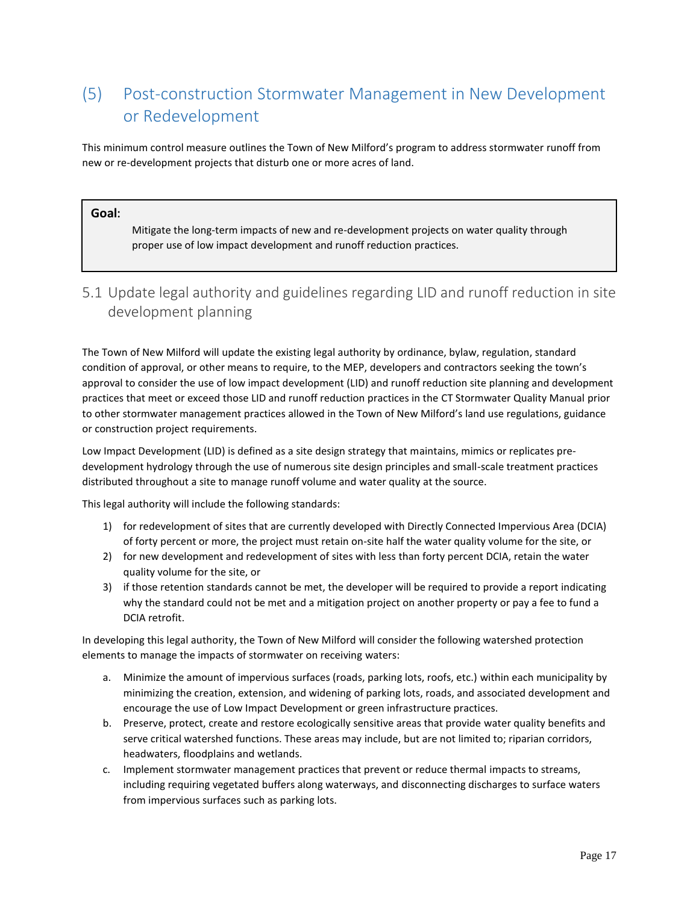# <span id="page-16-0"></span>(5) Post-construction Stormwater Management in New Development or Redevelopment

This minimum control measure outlines the Town of New Milford's program to address stormwater runoff from new or re-development projects that disturb one or more acres of land.

#### **Goal:**

Mitigate the long-term impacts of new and re-development projects on water quality through proper use of low impact development and runoff reduction practices.

# <span id="page-16-1"></span>5.1 Update legal authority and guidelines regarding LID and runoff reduction in site development planning

The Town of New Milford will update the existing legal authority by ordinance, bylaw, regulation, standard condition of approval, or other means to require, to the MEP, developers and contractors seeking the town's approval to consider the use of low impact development (LID) and runoff reduction site planning and development practices that meet or exceed those LID and runoff reduction practices in the CT Stormwater Quality Manual prior to other stormwater management practices allowed in the Town of New Milford's land use regulations, guidance or construction project requirements.

Low Impact Development (LID) is defined as a site design strategy that maintains, mimics or replicates predevelopment hydrology through the use of numerous site design principles and small-scale treatment practices distributed throughout a site to manage runoff volume and water quality at the source.

This legal authority will include the following standards:

- 1) for redevelopment of sites that are currently developed with Directly Connected Impervious Area (DCIA) of forty percent or more, the project must retain on-site half the water quality volume for the site, or
- 2) for new development and redevelopment of sites with less than forty percent DCIA, retain the water quality volume for the site, or
- 3) if those retention standards cannot be met, the developer will be required to provide a report indicating why the standard could not be met and a mitigation project on another property or pay a fee to fund a DCIA retrofit.

In developing this legal authority, the Town of New Milford will consider the following watershed protection elements to manage the impacts of stormwater on receiving waters:

- a. Minimize the amount of impervious surfaces (roads, parking lots, roofs, etc.) within each municipality by minimizing the creation, extension, and widening of parking lots, roads, and associated development and encourage the use of Low Impact Development or green infrastructure practices.
- b. Preserve, protect, create and restore ecologically sensitive areas that provide water quality benefits and serve critical watershed functions. These areas may include, but are not limited to; riparian corridors, headwaters, floodplains and wetlands.
- c. Implement stormwater management practices that prevent or reduce thermal impacts to streams, including requiring vegetated buffers along waterways, and disconnecting discharges to surface waters from impervious surfaces such as parking lots.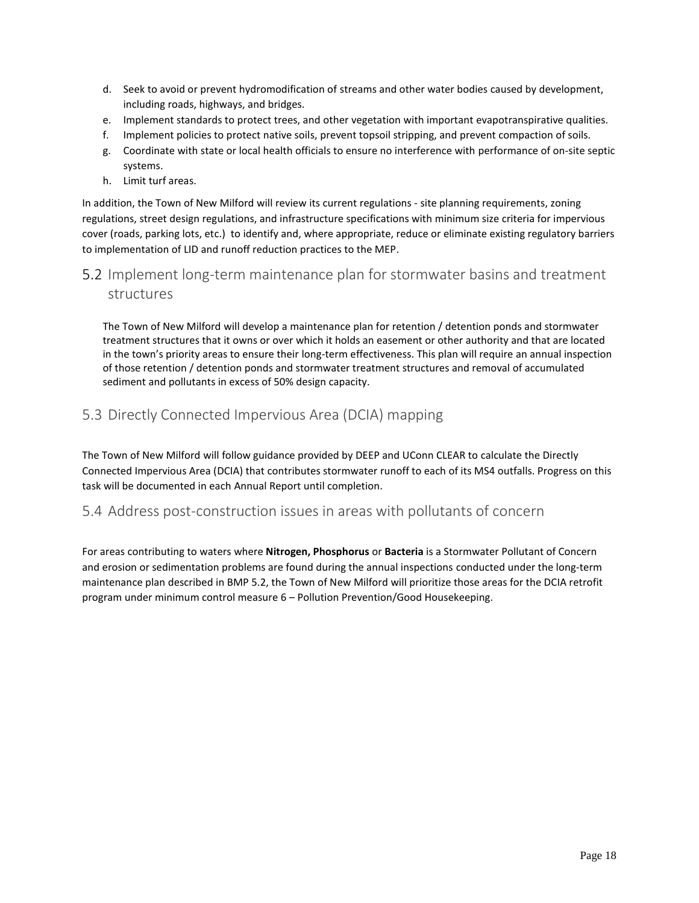- d. Seek to avoid or prevent hydromodification of streams and other water bodies caused by development, including roads, highways, and bridges.
- e. Implement standards to protect trees, and other vegetation with important evapotranspirative qualities.
- f. Implement policies to protect native soils, prevent topsoil stripping, and prevent compaction of soils.
- g. Coordinate with state or local health officials to ensure no interference with performance of on-site septic systems.
- h. Limit turf areas.

In addition, the Town of New Milford will review its current regulations - site planning requirements, zoning regulations, street design regulations, and infrastructure specifications with minimum size criteria for impervious cover (roads, parking lots, etc.) to identify and, where appropriate, reduce or eliminate existing regulatory barriers to implementation of LID and runoff reduction practices to the MEP.

# <span id="page-17-0"></span>5.2 Implement long-term maintenance plan for stormwater basins and treatment structures

The Town of New Milford will develop a maintenance plan for retention / detention ponds and stormwater treatment structures that it owns or over which it holds an easement or other authority and that are located in the town's priority areas to ensure their long-term effectiveness. This plan will require an annual inspection of those retention / detention ponds and stormwater treatment structures and removal of accumulated sediment and pollutants in excess of 50% design capacity.

# <span id="page-17-1"></span>5.3 Directly Connected Impervious Area (DCIA) mapping

The Town of New Milford will follow guidance provided by DEEP and UConn CLEAR to calculate the Directly Connected Impervious Area (DCIA) that contributes stormwater runoff to each of its MS4 outfalls. Progress on this task will be documented in each Annual Report until completion.

#### <span id="page-17-2"></span>5.4 Address post-construction issues in areas with pollutants of concern

For areas contributing to waters where **Nitrogen, Phosphorus** or **Bacteria** is a Stormwater Pollutant of Concern and erosion or sedimentation problems are found during the annual inspections conducted under the long-term maintenance plan described in BMP 5.2, the Town of New Milford will prioritize those areas for the DCIA retrofit program under minimum control measure 6 – Pollution Prevention/Good Housekeeping.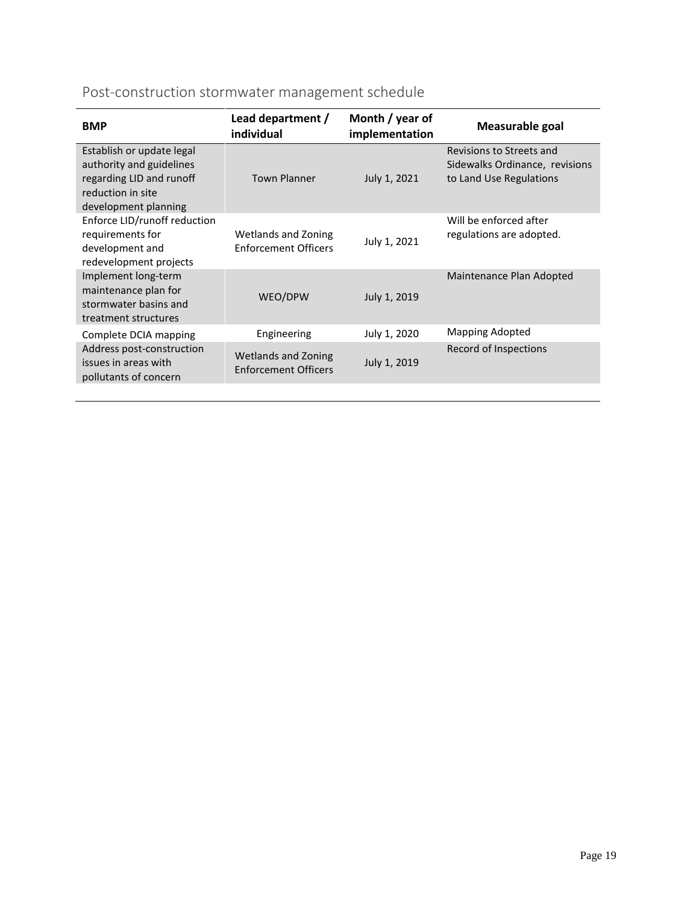# Post-construction stormwater management schedule

| <b>BMP</b>                                                                                                                     | Lead department /<br>individual                    | Month / year of<br>implementation | Measurable goal                                                                       |
|--------------------------------------------------------------------------------------------------------------------------------|----------------------------------------------------|-----------------------------------|---------------------------------------------------------------------------------------|
| Establish or update legal<br>authority and guidelines<br>regarding LID and runoff<br>reduction in site<br>development planning | <b>Town Planner</b>                                | July 1, 2021                      | Revisions to Streets and<br>Sidewalks Ordinance, revisions<br>to Land Use Regulations |
| Enforce LID/runoff reduction<br>requirements for<br>development and<br>redevelopment projects                                  | Wetlands and Zoning<br><b>Enforcement Officers</b> | July 1, 2021                      | Will be enforced after<br>regulations are adopted.                                    |
| Implement long-term<br>maintenance plan for<br>stormwater basins and<br>treatment structures                                   | WEO/DPW                                            | July 1, 2019                      | Maintenance Plan Adopted                                                              |
| Complete DCIA mapping                                                                                                          | Engineering                                        | July 1, 2020                      | <b>Mapping Adopted</b>                                                                |
| Address post-construction<br>issues in areas with<br>pollutants of concern                                                     | Wetlands and Zoning<br><b>Enforcement Officers</b> | July 1, 2019                      | Record of Inspections                                                                 |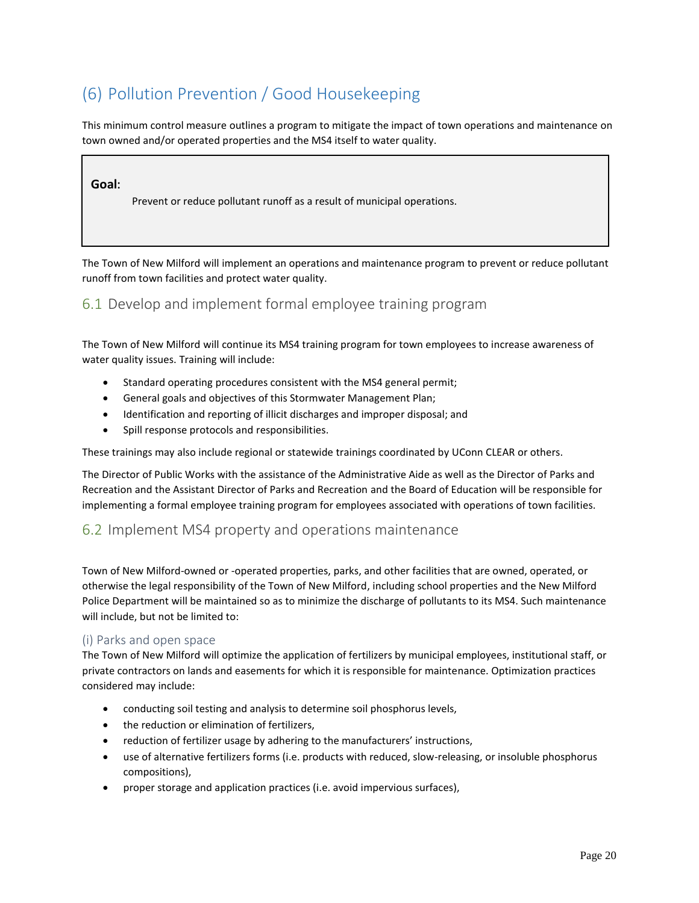# <span id="page-19-0"></span>(6) Pollution Prevention / Good Housekeeping

This minimum control measure outlines a program to mitigate the impact of town operations and maintenance on town owned and/or operated properties and the MS4 itself to water quality.

#### **Goal:**

Prevent or reduce pollutant runoff as a result of municipal operations.

The Town of New Milford will implement an operations and maintenance program to prevent or reduce pollutant runoff from town facilities and protect water quality.

# <span id="page-19-1"></span>6.1 Develop and implement formal employee training program

The Town of New Milford will continue its MS4 training program for town employees to increase awareness of water quality issues. Training will include:

- Standard operating procedures consistent with the MS4 general permit;
- General goals and objectives of this Stormwater Management Plan;
- Identification and reporting of illicit discharges and improper disposal; and
- Spill response protocols and responsibilities.

These trainings may also include regional or statewide trainings coordinated by UConn CLEAR or others.

The Director of Public Works with the assistance of the Administrative Aide as well as the Director of Parks and Recreation and the Assistant Director of Parks and Recreation and the Board of Education will be responsible for implementing a formal employee training program for employees associated with operations of town facilities.

#### <span id="page-19-2"></span>6.2 Implement MS4 property and operations maintenance

Town of New Milford-owned or -operated properties, parks, and other facilities that are owned, operated, or otherwise the legal responsibility of the Town of New Milford, including school properties and the New Milford Police Department will be maintained so as to minimize the discharge of pollutants to its MS4. Such maintenance will include, but not be limited to:

#### (i) Parks and open space

The Town of New Milford will optimize the application of fertilizers by municipal employees, institutional staff, or private contractors on lands and easements for which it is responsible for maintenance. Optimization practices considered may include:

- conducting soil testing and analysis to determine soil phosphorus levels,
- the reduction or elimination of fertilizers,
- reduction of fertilizer usage by adhering to the manufacturers' instructions,
- use of alternative fertilizers forms (i.e. products with reduced, slow-releasing, or insoluble phosphorus compositions),
- proper storage and application practices (i.e. avoid impervious surfaces),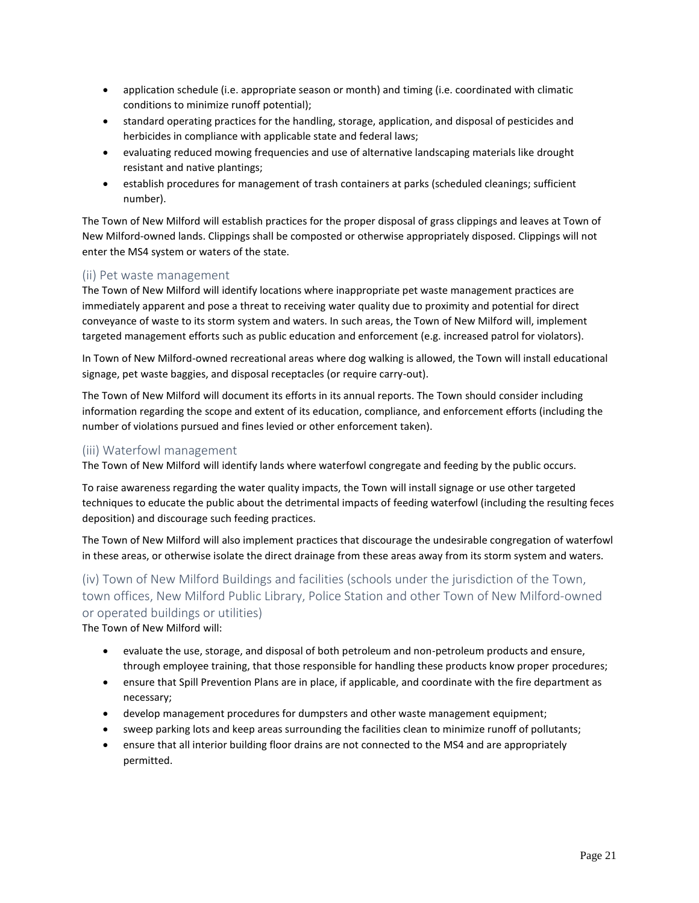- application schedule (i.e. appropriate season or month) and timing (i.e. coordinated with climatic conditions to minimize runoff potential);
- standard operating practices for the handling, storage, application, and disposal of pesticides and herbicides in compliance with applicable state and federal laws;
- evaluating reduced mowing frequencies and use of alternative landscaping materials like drought resistant and native plantings;
- establish procedures for management of trash containers at parks (scheduled cleanings; sufficient number).

The Town of New Milford will establish practices for the proper disposal of grass clippings and leaves at Town of New Milford-owned lands. Clippings shall be composted or otherwise appropriately disposed. Clippings will not enter the MS4 system or waters of the state.

#### (ii) Pet waste management

The Town of New Milford will identify locations where inappropriate pet waste management practices are immediately apparent and pose a threat to receiving water quality due to proximity and potential for direct conveyance of waste to its storm system and waters. In such areas, the Town of New Milford will, implement targeted management efforts such as public education and enforcement (e.g. increased patrol for violators).

In Town of New Milford-owned recreational areas where dog walking is allowed, the Town will install educational signage, pet waste baggies, and disposal receptacles (or require carry-out).

The Town of New Milford will document its efforts in its annual reports. The Town should consider including information regarding the scope and extent of its education, compliance, and enforcement efforts (including the number of violations pursued and fines levied or other enforcement taken).

#### (iii) Waterfowl management

The Town of New Milford will identify lands where waterfowl congregate and feeding by the public occurs.

To raise awareness regarding the water quality impacts, the Town will install signage or use other targeted techniques to educate the public about the detrimental impacts of feeding waterfowl (including the resulting feces deposition) and discourage such feeding practices.

The Town of New Milford will also implement practices that discourage the undesirable congregation of waterfowl in these areas, or otherwise isolate the direct drainage from these areas away from its storm system and waters.

# (iv) Town of New Milford Buildings and facilities (schools under the jurisdiction of the Town, town offices, New Milford Public Library, Police Station and other Town of New Milford-owned or operated buildings or utilities)

The Town of New Milford will:

- evaluate the use, storage, and disposal of both petroleum and non-petroleum products and ensure, through employee training, that those responsible for handling these products know proper procedures;
- ensure that Spill Prevention Plans are in place, if applicable, and coordinate with the fire department as necessary;
- develop management procedures for dumpsters and other waste management equipment;
- sweep parking lots and keep areas surrounding the facilities clean to minimize runoff of pollutants;
- ensure that all interior building floor drains are not connected to the MS4 and are appropriately permitted.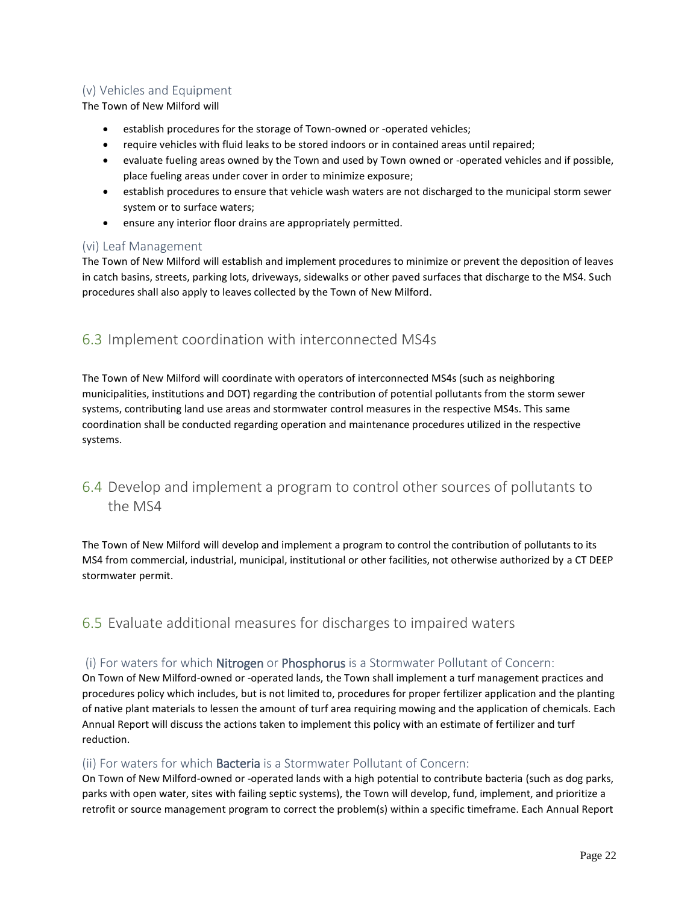#### (v) Vehicles and Equipment

The Town of New Milford will

- **EXE** establish procedures for the storage of Town-owned or -operated vehicles;
- require vehicles with fluid leaks to be stored indoors or in contained areas until repaired;
- evaluate fueling areas owned by the Town and used by Town owned or -operated vehicles and if possible, place fueling areas under cover in order to minimize exposure;
- establish procedures to ensure that vehicle wash waters are not discharged to the municipal storm sewer system or to surface waters;
- ensure any interior floor drains are appropriately permitted.

#### (vi) Leaf Management

The Town of New Milford will establish and implement procedures to minimize or prevent the deposition of leaves in catch basins, streets, parking lots, driveways, sidewalks or other paved surfaces that discharge to the MS4. Such procedures shall also apply to leaves collected by the Town of New Milford.

# <span id="page-21-0"></span>6.3 Implement coordination with interconnected MS4s

The Town of New Milford will coordinate with operators of interconnected MS4s (such as neighboring municipalities, institutions and DOT) regarding the contribution of potential pollutants from the storm sewer systems, contributing land use areas and stormwater control measures in the respective MS4s. This same coordination shall be conducted regarding operation and maintenance procedures utilized in the respective systems.

# <span id="page-21-1"></span>6.4 Develop and implement a program to control other sources of pollutants to the MS4

The Town of New Milford will develop and implement a program to control the contribution of pollutants to its MS4 from commercial, industrial, municipal, institutional or other facilities, not otherwise authorized by a CT DEEP stormwater permit.

# <span id="page-21-2"></span>6.5 Evaluate additional measures for discharges to impaired waters

#### (i) For waters for which Nitrogen or Phosphorus is a Stormwater Pollutant of Concern:

On Town of New Milford-owned or -operated lands, the Town shall implement a turf management practices and procedures policy which includes, but is not limited to, procedures for proper fertilizer application and the planting of native plant materials to lessen the amount of turf area requiring mowing and the application of chemicals. Each Annual Report will discuss the actions taken to implement this policy with an estimate of fertilizer and turf reduction.

#### (ii) For waters for which **Bacteria** is a Stormwater Pollutant of Concern:

On Town of New Milford-owned or -operated lands with a high potential to contribute bacteria (such as dog parks, parks with open water, sites with failing septic systems), the Town will develop, fund, implement, and prioritize a retrofit or source management program to correct the problem(s) within a specific timeframe. Each Annual Report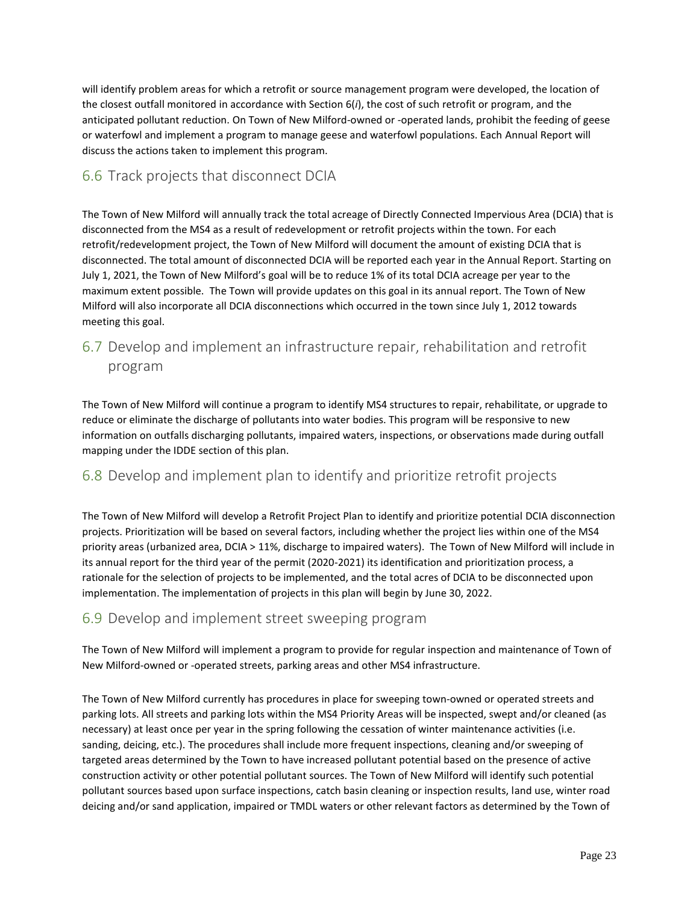will identify problem areas for which a retrofit or source management program were developed, the location of the closest outfall monitored in accordance with Section 6(*i*), the cost of such retrofit or program, and the anticipated pollutant reduction. On Town of New Milford-owned or -operated lands, prohibit the feeding of geese or waterfowl and implement a program to manage geese and waterfowl populations. Each Annual Report will discuss the actions taken to implement this program.

# <span id="page-22-0"></span>6.6 Track projects that disconnect DCIA

The Town of New Milford will annually track the total acreage of Directly Connected Impervious Area (DCIA) that is disconnected from the MS4 as a result of redevelopment or retrofit projects within the town. For each retrofit/redevelopment project, the Town of New Milford will document the amount of existing DCIA that is disconnected. The total amount of disconnected DCIA will be reported each year in the Annual Report. Starting on July 1, 2021, the Town of New Milford's goal will be to reduce 1% of its total DCIA acreage per year to the maximum extent possible. The Town will provide updates on this goal in its annual report. The Town of New Milford will also incorporate all DCIA disconnections which occurred in the town since July 1, 2012 towards meeting this goal.

# <span id="page-22-1"></span>6.7 Develop and implement an infrastructure repair, rehabilitation and retrofit program

The Town of New Milford will continue a program to identify MS4 structures to repair, rehabilitate, or upgrade to reduce or eliminate the discharge of pollutants into water bodies. This program will be responsive to new information on outfalls discharging pollutants, impaired waters, inspections, or observations made during outfall mapping under the IDDE section of this plan.

# <span id="page-22-2"></span>6.8 Develop and implement plan to identify and prioritize retrofit projects

The Town of New Milford will develop a Retrofit Project Plan to identify and prioritize potential DCIA disconnection projects. Prioritization will be based on several factors, including whether the project lies within one of the MS4 priority areas (urbanized area, DCIA > 11%, discharge to impaired waters). The Town of New Milford will include in its annual report for the third year of the permit (2020-2021) its identification and prioritization process, a rationale for the selection of projects to be implemented, and the total acres of DCIA to be disconnected upon implementation. The implementation of projects in this plan will begin by June 30, 2022.

# <span id="page-22-3"></span>6.9 Develop and implement street sweeping program

The Town of New Milford will implement a program to provide for regular inspection and maintenance of Town of New Milford-owned or -operated streets, parking areas and other MS4 infrastructure.

The Town of New Milford currently has procedures in place for sweeping town-owned or operated streets and parking lots. All streets and parking lots within the MS4 Priority Areas will be inspected, swept and/or cleaned (as necessary) at least once per year in the spring following the cessation of winter maintenance activities (i.e. sanding, deicing, etc.). The procedures shall include more frequent inspections, cleaning and/or sweeping of targeted areas determined by the Town to have increased pollutant potential based on the presence of active construction activity or other potential pollutant sources. The Town of New Milford will identify such potential pollutant sources based upon surface inspections, catch basin cleaning or inspection results, land use, winter road deicing and/or sand application, impaired or TMDL waters or other relevant factors as determined by the Town of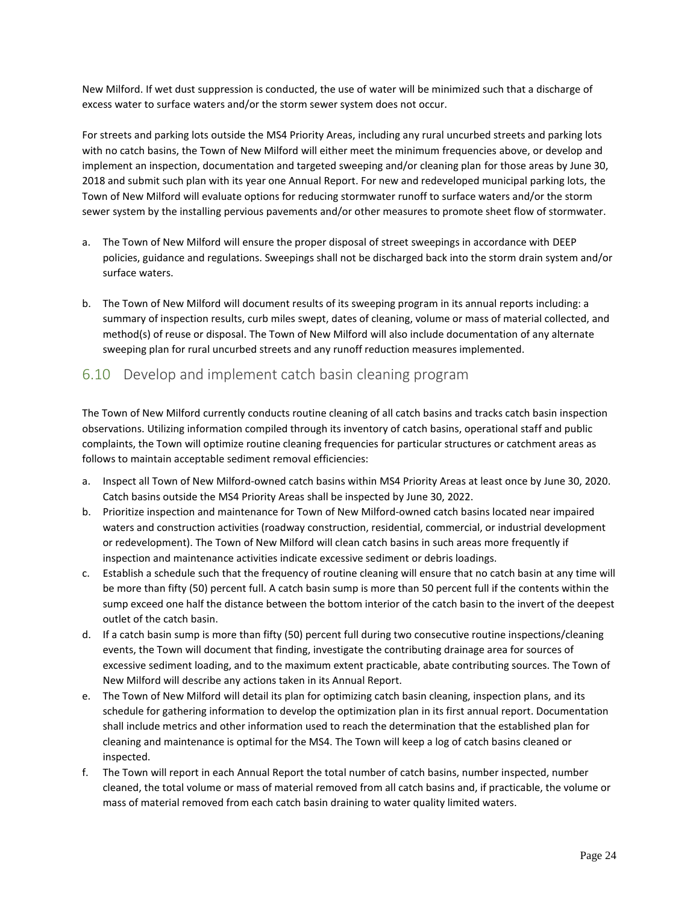New Milford. If wet dust suppression is conducted, the use of water will be minimized such that a discharge of excess water to surface waters and/or the storm sewer system does not occur.

For streets and parking lots outside the MS4 Priority Areas, including any rural uncurbed streets and parking lots with no catch basins, the Town of New Milford will either meet the minimum frequencies above, or develop and implement an inspection, documentation and targeted sweeping and/or cleaning plan for those areas by June 30, 2018 and submit such plan with its year one Annual Report. For new and redeveloped municipal parking lots, the Town of New Milford will evaluate options for reducing stormwater runoff to surface waters and/or the storm sewer system by the installing pervious pavements and/or other measures to promote sheet flow of stormwater.

- a. The Town of New Milford will ensure the proper disposal of street sweepings in accordance with DEEP policies, guidance and regulations. Sweepings shall not be discharged back into the storm drain system and/or surface waters.
- b. The Town of New Milford will document results of its sweeping program in its annual reports including: a summary of inspection results, curb miles swept, dates of cleaning, volume or mass of material collected, and method(s) of reuse or disposal. The Town of New Milford will also include documentation of any alternate sweeping plan for rural uncurbed streets and any runoff reduction measures implemented.

# <span id="page-23-0"></span>6.10 Develop and implement catch basin cleaning program

The Town of New Milford currently conducts routine cleaning of all catch basins and tracks catch basin inspection observations. Utilizing information compiled through its inventory of catch basins, operational staff and public complaints, the Town will optimize routine cleaning frequencies for particular structures or catchment areas as follows to maintain acceptable sediment removal efficiencies:

- a. Inspect all Town of New Milford-owned catch basins within MS4 Priority Areas at least once by June 30, 2020. Catch basins outside the MS4 Priority Areas shall be inspected by June 30, 2022.
- b. Prioritize inspection and maintenance for Town of New Milford-owned catch basins located near impaired waters and construction activities (roadway construction, residential, commercial, or industrial development or redevelopment). The Town of New Milford will clean catch basins in such areas more frequently if inspection and maintenance activities indicate excessive sediment or debris loadings.
- c. Establish a schedule such that the frequency of routine cleaning will ensure that no catch basin at any time will be more than fifty (50) percent full. A catch basin sump is more than 50 percent full if the contents within the sump exceed one half the distance between the bottom interior of the catch basin to the invert of the deepest outlet of the catch basin.
- d. If a catch basin sump is more than fifty (50) percent full during two consecutive routine inspections/cleaning events, the Town will document that finding, investigate the contributing drainage area for sources of excessive sediment loading, and to the maximum extent practicable, abate contributing sources. The Town of New Milford will describe any actions taken in its Annual Report.
- e. The Town of New Milford will detail its plan for optimizing catch basin cleaning, inspection plans, and its schedule for gathering information to develop the optimization plan in its first annual report. Documentation shall include metrics and other information used to reach the determination that the established plan for cleaning and maintenance is optimal for the MS4. The Town will keep a log of catch basins cleaned or inspected.
- f. The Town will report in each Annual Report the total number of catch basins, number inspected, number cleaned, the total volume or mass of material removed from all catch basins and, if practicable, the volume or mass of material removed from each catch basin draining to water quality limited waters.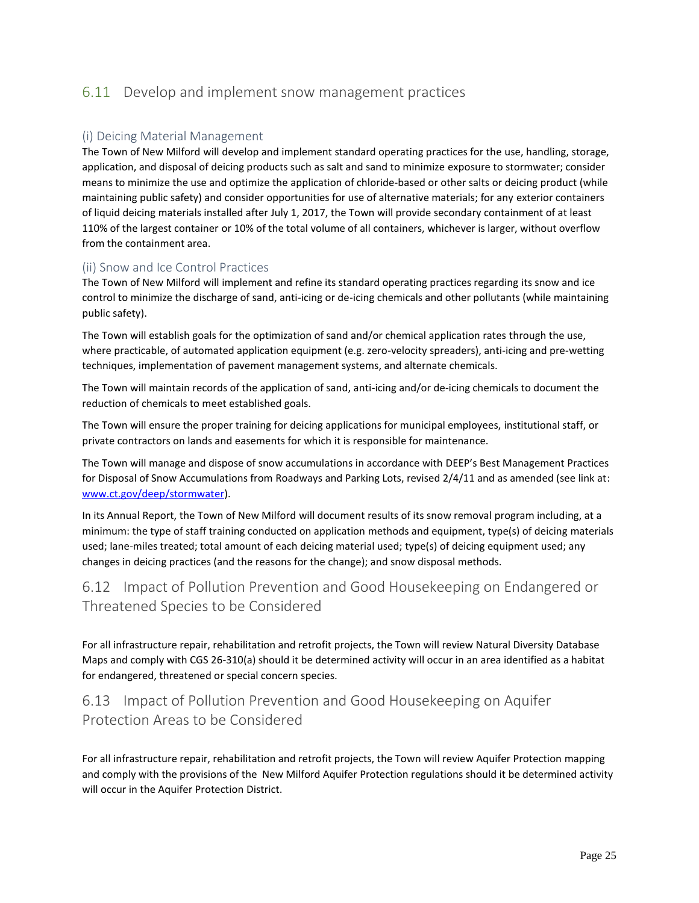# <span id="page-24-0"></span>6.11 Develop and implement snow management practices

#### (i) Deicing Material Management

The Town of New Milford will develop and implement standard operating practices for the use, handling, storage, application, and disposal of deicing products such as salt and sand to minimize exposure to stormwater; consider means to minimize the use and optimize the application of chloride-based or other salts or deicing product (while maintaining public safety) and consider opportunities for use of alternative materials; for any exterior containers of liquid deicing materials installed after July 1, 2017, the Town will provide secondary containment of at least 110% of the largest container or 10% of the total volume of all containers, whichever is larger, without overflow from the containment area.

#### (ii) Snow and Ice Control Practices

The Town of New Milford will implement and refine its standard operating practices regarding its snow and ice control to minimize the discharge of sand, anti-icing or de-icing chemicals and other pollutants (while maintaining public safety).

The Town will establish goals for the optimization of sand and/or chemical application rates through the use, where practicable, of automated application equipment (e.g. zero-velocity spreaders), anti-icing and pre-wetting techniques, implementation of pavement management systems, and alternate chemicals.

The Town will maintain records of the application of sand, anti-icing and/or de-icing chemicals to document the reduction of chemicals to meet established goals.

The Town will ensure the proper training for deicing applications for municipal employees, institutional staff, or private contractors on lands and easements for which it is responsible for maintenance.

The Town will manage and dispose of snow accumulations in accordance with DEEP's Best Management Practices for Disposal of Snow Accumulations from Roadways and Parking Lots, revised 2/4/11 and as amended (see link at: [www.ct.gov/deep/stormwater\)](http://www.ct.gov/deep/stormwater).

In its Annual Report, the Town of New Milford will document results of its snow removal program including, at a minimum: the type of staff training conducted on application methods and equipment, type(s) of deicing materials used; lane-miles treated; total amount of each deicing material used; type(s) of deicing equipment used; any changes in deicing practices (and the reasons for the change); and snow disposal methods.

# <span id="page-24-1"></span>6.12 Impact of Pollution Prevention and Good Housekeeping on Endangered or Threatened Species to be Considered

For all infrastructure repair, rehabilitation and retrofit projects, the Town will review Natural Diversity Database Maps and comply with CGS 26-310(a) should it be determined activity will occur in an area identified as a habitat for endangered, threatened or special concern species.

# <span id="page-24-2"></span>6.13 Impact of Pollution Prevention and Good Housekeeping on Aquifer Protection Areas to be Considered

For all infrastructure repair, rehabilitation and retrofit projects, the Town will review Aquifer Protection mapping and comply with the provisions of the New Milford Aquifer Protection regulations should it be determined activity will occur in the Aquifer Protection District.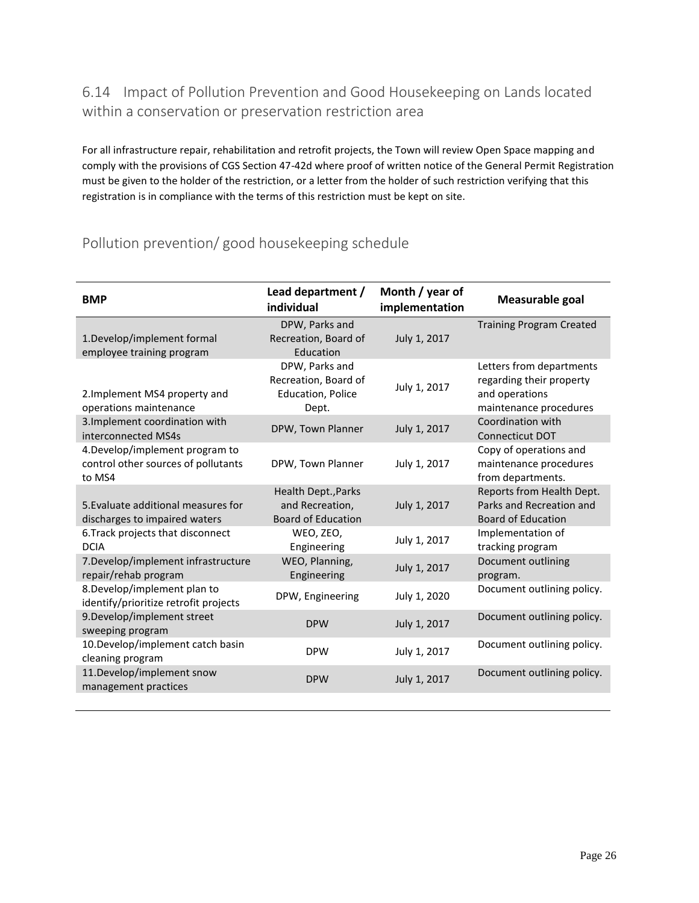# <span id="page-25-0"></span>6.14 Impact of Pollution Prevention and Good Housekeeping on Lands located within a conservation or preservation restriction area

For all infrastructure repair, rehabilitation and retrofit projects, the Town will review Open Space mapping and comply with the provisions of CGS Section 47-42d where proof of written notice of the General Permit Registration must be given to the holder of the restriction, or a letter from the holder of such restriction verifying that this registration is in compliance with the terms of this restriction must be kept on site.

# Pollution prevention/ good housekeeping schedule

| <b>BMP</b>                                                                       | Lead department /<br>individual                                             | Month / year of<br>implementation | Measurable goal                                                                                  |
|----------------------------------------------------------------------------------|-----------------------------------------------------------------------------|-----------------------------------|--------------------------------------------------------------------------------------------------|
| 1.Develop/implement formal<br>employee training program                          | DPW, Parks and<br>Recreation, Board of<br>Education                         | July 1, 2017                      | <b>Training Program Created</b>                                                                  |
| 2. Implement MS4 property and<br>operations maintenance                          | DPW, Parks and<br>Recreation, Board of<br><b>Education, Police</b><br>Dept. | July 1, 2017                      | Letters from departments<br>regarding their property<br>and operations<br>maintenance procedures |
| 3. Implement coordination with<br>interconnected MS4s                            | DPW, Town Planner                                                           | July 1, 2017                      | Coordination with<br><b>Connecticut DOT</b>                                                      |
| 4. Develop/implement program to<br>control other sources of pollutants<br>to MS4 | DPW, Town Planner                                                           | July 1, 2017                      | Copy of operations and<br>maintenance procedures<br>from departments.                            |
| 5. Evaluate additional measures for<br>discharges to impaired waters             | Health Dept., Parks<br>and Recreation,<br><b>Board of Education</b>         | July 1, 2017                      | Reports from Health Dept.<br>Parks and Recreation and<br><b>Board of Education</b>               |
| 6. Track projects that disconnect<br><b>DCIA</b>                                 | WEO, ZEO,<br>Engineering                                                    | July 1, 2017                      | Implementation of<br>tracking program                                                            |
| 7. Develop/implement infrastructure<br>repair/rehab program                      | WEO, Planning,<br>Engineering                                               | July 1, 2017                      | Document outlining<br>program.                                                                   |
| 8. Develop/implement plan to<br>identify/prioritize retrofit projects            | DPW, Engineering                                                            | July 1, 2020                      | Document outlining policy.                                                                       |
| 9. Develop/implement street<br>sweeping program                                  | <b>DPW</b>                                                                  | July 1, 2017                      | Document outlining policy.                                                                       |
| 10.Develop/implement catch basin<br>cleaning program                             | <b>DPW</b>                                                                  | July 1, 2017                      | Document outlining policy.                                                                       |
| 11.Develop/implement snow<br>management practices                                | <b>DPW</b>                                                                  | July 1, 2017                      | Document outlining policy.                                                                       |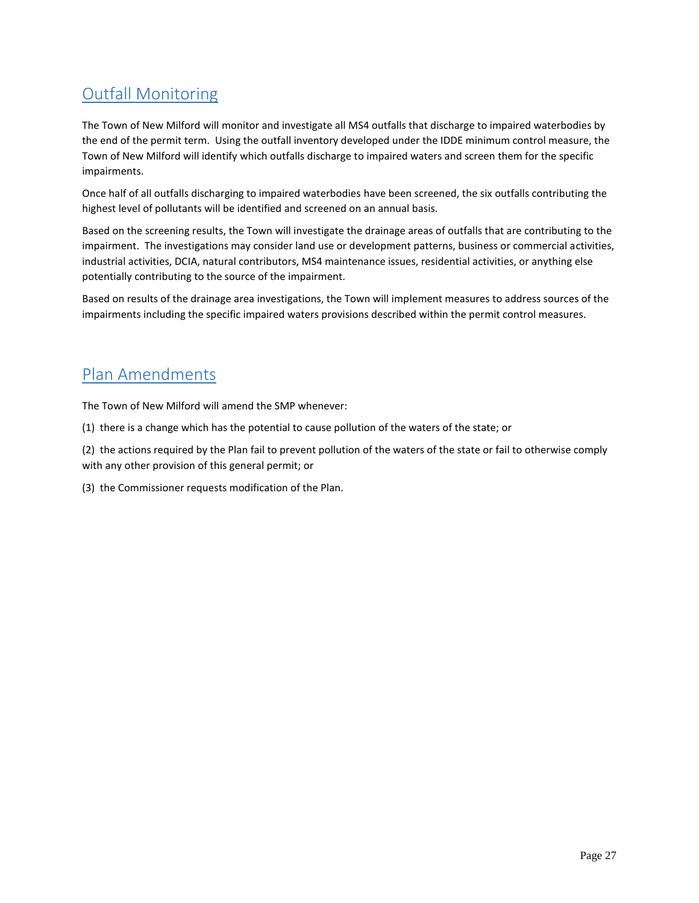# Outfall Monitoring

The Town of New Milford will monitor and investigate all MS4 outfalls that discharge to impaired waterbodies by the end of the permit term. Using the outfall inventory developed under the IDDE minimum control measure, the Town of New Milford will identify which outfalls discharge to impaired waters and screen them for the specific impairments.

Once half of all outfalls discharging to impaired waterbodies have been screened, the six outfalls contributing the highest level of pollutants will be identified and screened on an annual basis.

Based on the screening results, the Town will investigate the drainage areas of outfalls that are contributing to the impairment. The investigations may consider land use or development patterns, business or commercial activities, industrial activities, DCIA, natural contributors, MS4 maintenance issues, residential activities, or anything else potentially contributing to the source of the impairment.

Based on results of the drainage area investigations, the Town will implement measures to address sources of the impairments including the specific impaired waters provisions described within the permit control measures.

# Plan Amendments

The Town of New Milford will amend the SMP whenever:

- (1) there is a change which has the potential to cause pollution of the waters of the state; or
- (2) the actions required by the Plan fail to prevent pollution of the waters of the state or fail to otherwise comply with any other provision of this general permit; or
- <span id="page-26-0"></span>(3) the Commissioner requests modification of the Plan.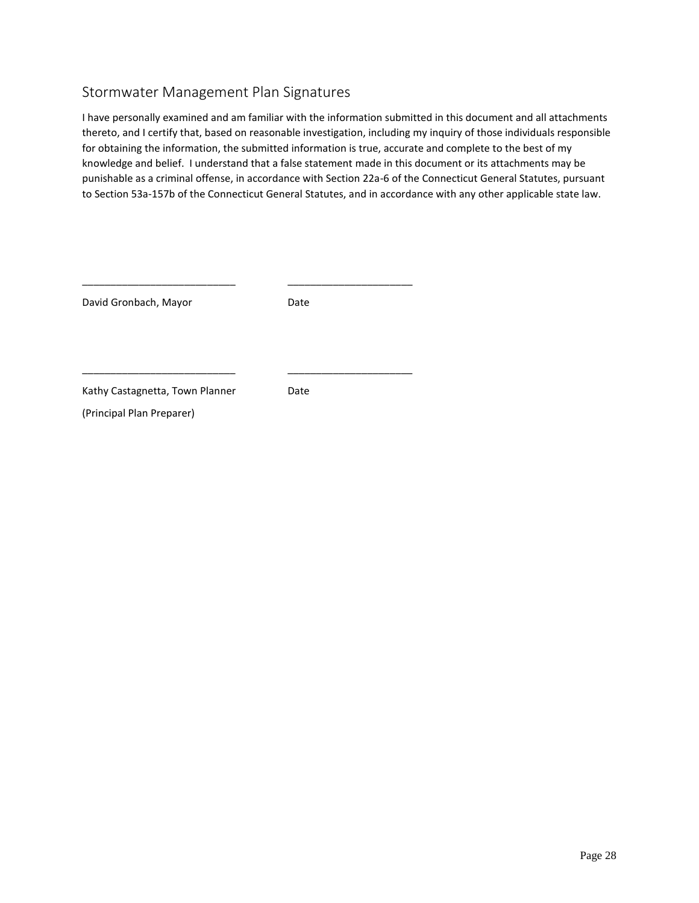# Stormwater Management Plan Signatures

I have personally examined and am familiar with the information submitted in this document and all attachments thereto, and I certify that, based on reasonable investigation, including my inquiry of those individuals responsible for obtaining the information, the submitted information is true, accurate and complete to the best of my knowledge and belief. I understand that a false statement made in this document or its attachments may be punishable as a criminal offense, in accordance with Section 22a-6 of the Connecticut General Statutes, pursuant to Section 53a-157b of the Connecticut General Statutes, and in accordance with any other applicable state law.

| David Gronbach, Mayor           | Date |
|---------------------------------|------|
|                                 |      |
| Kathy Castagnetta, Town Planner | Date |
| (Principal Plan Preparer)       |      |